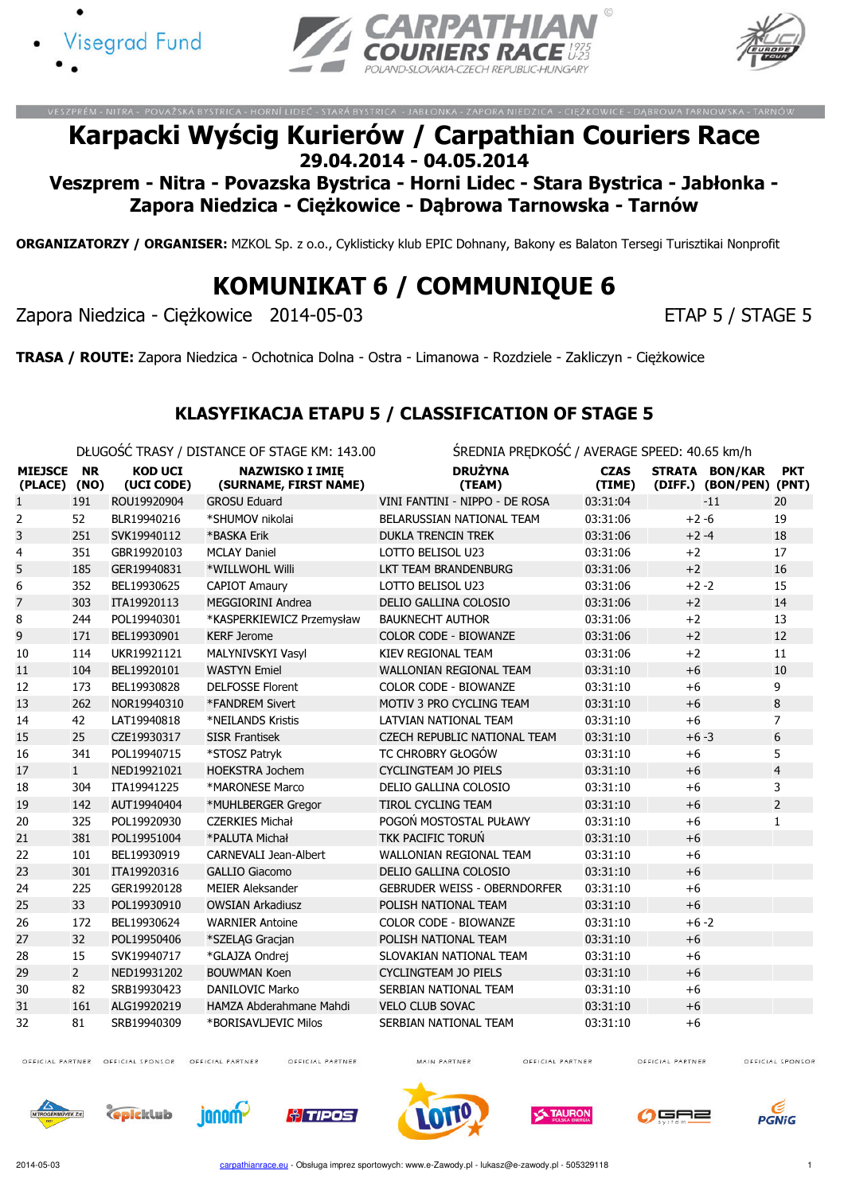

**MIF1SCF** (PLACE) (NO)

NR





.<br>M - NITRA - POVAŽSKÁ BYSTRICA - HORNÍ LIDEČ - STARÁ BYSTRICA - JABŁONKA - ZAPORA NIEDZICA - CIĘŻKOWICE - DĄBROWA T

# Karpacki Wyścig Kurierów / Carpathian Couriers Race 29.04.2014 - 04.05.2014

Veszprem - Nitra - Povazska Bystrica - Horni Lidec - Stara Bystrica - Jabłonka - Zapora Niedzica - Ciężkowice - Dąbrowa Tarnowska - Tarnów

ORGANIZATORZY / ORGANISER: MZKOL Sp. z o.o., Cyklisticky klub EPIC Dohnany, Bakony es Balaton Tersegi Turisztikai Nonprofit

# KOMUNIKAT 6 / COMMUNIQUE 6

Zapora Niedzica - Ciężkowice 2014-05-03 ETAP 5 / STAGE 5

KOD UCI

STRATA BON/KAR

**PKT** 

TRASA / ROUTE: Zapora Niedzica - Ochotnica Dolna - Ostra - Limanowa - Rozdziele - Zakliczyn - Ciężkowice

#### KLASYFIKACJA ETAPU 5 / CLASSIFICATION OF STAGE 5

DŁUGOŚĆ TRASY / DISTANCE OF STAGE KM: 143.00 ŚREDNIA PRĘDKOŚĆ / AVERAGE SPEED: 40.65 km/h

NAZWISKO I IMIĘ (CIIDNAME, ETDCT NAME)

| (PLACE) | (NO)         | (UCI CODE)  | (SURNAME, FIRST NAME)     | (TEAM)                              | (TIME)   |          | (DIFF.) (BON/PEN) (PNT) |                |
|---------|--------------|-------------|---------------------------|-------------------------------------|----------|----------|-------------------------|----------------|
|         | 191          | ROU19920904 | <b>GROSU Eduard</b>       | VINI FANTINI - NIPPO - DE ROSA      | 03:31:04 |          | $-11$                   | 20             |
| 2       | 52           | BLR19940216 | *SHUMOV nikolai           | BELARUSSIAN NATIONAL TEAM           | 03:31:06 | $+2 - 6$ |                         | 19             |
| 3       | 251          | SVK19940112 | *BASKA Erik               | <b>DUKLA TRENCIN TREK</b>           | 03:31:06 | $+2 -4$  |                         | 18             |
| 4       | 351          | GBR19920103 | <b>MCLAY Daniel</b>       | LOTTO BELISOL U23                   | 03:31:06 | $+2$     |                         | 17             |
| 5       | 185          | GER19940831 | *WILLWOHL Willi           | LKT TEAM BRANDENBURG                | 03:31:06 | $+2$     |                         | 16             |
| 6       | 352          | BEL19930625 | <b>CAPIOT Amaury</b>      | LOTTO BELISOL U23                   | 03:31:06 | $+2-2$   |                         | 15             |
| 7       | 303          | ITA19920113 | <b>MEGGIORINI Andrea</b>  | DELIO GALLINA COLOSIO               | 03:31:06 | $+2$     |                         | 14             |
| 8       | 244          | POL19940301 | *KASPERKIEWICZ Przemysław | <b>BAUKNECHT AUTHOR</b>             | 03:31:06 | $+2$     |                         | 13             |
| 9       | 171          | BEL19930901 | <b>KERF Jerome</b>        | <b>COLOR CODE - BIOWANZE</b>        | 03:31:06 | $+2$     |                         | 12             |
| 10      | 114          | UKR19921121 | MALYNIVSKYI Vasyl         | KIEV REGIONAL TEAM                  | 03:31:06 | $+2$     |                         | 11             |
| 11      | 104          | BEL19920101 | <b>WASTYN Emiel</b>       | <b>WALLONIAN REGIONAL TEAM</b>      | 03:31:10 | $+6$     |                         | 10             |
| 12      | 173          | BEL19930828 | <b>DELFOSSE Florent</b>   | <b>COLOR CODE - BIOWANZE</b>        | 03:31:10 | $+6$     |                         | 9              |
| 13      | 262          | NOR19940310 | *FANDREM Sivert           | <b>MOTIV 3 PRO CYCLING TEAM</b>     | 03:31:10 | $+6$     |                         | 8              |
| 14      | 42           | LAT19940818 | *NEILANDS Kristis         | LATVIAN NATIONAL TEAM               | 03:31:10 | $+6$     |                         | 7              |
| 15      | 25           | CZE19930317 | <b>SISR Frantisek</b>     | <b>CZECH REPUBLIC NATIONAL TEAM</b> | 03:31:10 | $+6-3$   |                         | 6              |
| 16      | 341          | POL19940715 | *STOSZ Patryk             | TC CHROBRY GŁOGÓW                   | 03:31:10 | $+6$     |                         | 5              |
| 17      | $\mathbf{1}$ | NED19921021 | <b>HOEKSTRA Jochem</b>    | <b>CYCLINGTEAM JO PIELS</b>         | 03:31:10 | $+6$     |                         | $\overline{4}$ |
| 18      | 304          | ITA19941225 | *MARONESE Marco           | DELIO GALLINA COLOSIO               | 03:31:10 | $+6$     |                         | 3              |
| 19      | 142          | AUT19940404 | *MUHLBERGER Gregor        | <b>TIROL CYCLING TEAM</b>           | 03:31:10 | $+6$     |                         | $\overline{2}$ |

DRUŻYNA (TEAM)

CZAS  $(TIMEN)$ 

OFFICIAL PARTNER

MAIN PARTNER

OFFICIAL PARTNER

OFFICIAL PARTNER

OFFICIAL SPONSOR



OFFICIAL PARTNER



OFFICIAL SPONSOR



OFFICIAL PARTNER











20 325 POL19920930 CZERKIES Michał POGOŃ MOSTOSTAL PUŁAWY 03:31:10 +6 1

 381 POL19951004 \*PALUTA Michał TKK PACIFIC TORUŃ 03:31:10 +6 101 BEL19930919 CARNEVALI Jean-Albert WALLONIAN REGIONAL TEAM 03:31:10 +6 301 ITA19920316 GALLIO Giacomo DELIO GALLINA COLOSIO 03:31:10 +6 225 GER19920128 MEIER Aleksander GEBRUDER WEISS - OBERNDORFER 03:31:10 +6 33 POL19930910 OWSIAN Arkadiusz POLISH NATIONAL TEAM 03:31:10 +6 172 BEL19930624 WARNIER Antoine COLOR CODE - BIOWANZE 03:31:10 +6 -2 32 POL19950406 \*SZELĄG Gracjan POLISH NATIONAL TEAM 03:31:10 +6 28 15 SVK19940717 \*GLAJZA Ondrej SLOVAKIAN NATIONAL TEAM 03:31:10 +6 2 NED19931202 BOUWMAN Koen CYCLINGTEAM JO PIELS 03:31:10 +6 82 SRB19930423 DANILOVIC Marko SERBIAN NATIONAL TEAM 03:31:10 +6 161 ALG19920219 HAMZA Abderahmane Mahdi VELO CLUB SOVAC 03:31:10 +6 81 SRB19940309 \*BORISAVLJEVIC Milos SERBIAN NATIONAL TEAM 03:31:10 +6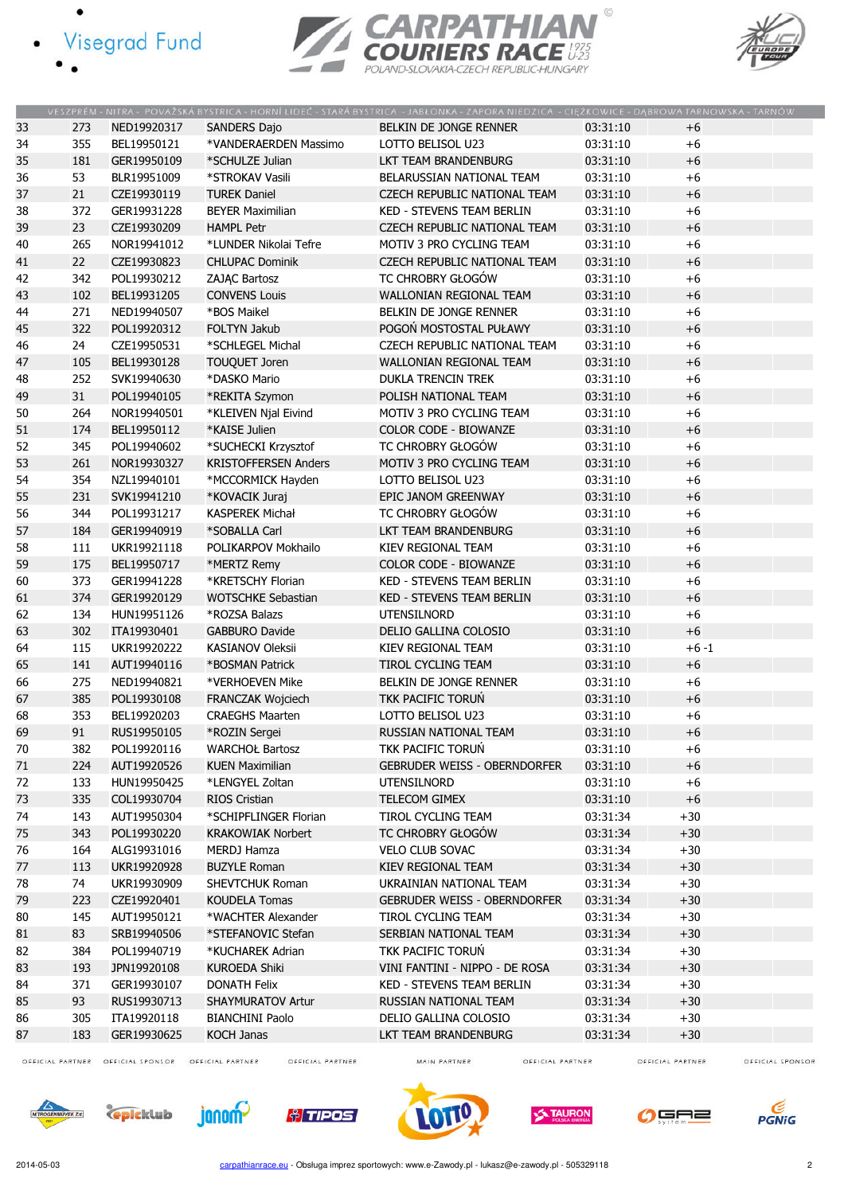- · Visegrad Fund
	-





|        |     |             |                             | VESZPRÉM - NITRA - POVAŽSKÁ BYSTRICA - HORNÍ LIDEČ - STARÁ BYSTRICA - JABŁONKA - ZAPORA NIEDZICA - CIEŻKOWICE - DABROWA TARNOWSKA - TARNÓW |          |          |
|--------|-----|-------------|-----------------------------|--------------------------------------------------------------------------------------------------------------------------------------------|----------|----------|
| 33     | 273 | NED19920317 | <b>SANDERS Dajo</b>         | BELKIN DE JONGE RENNER                                                                                                                     | 03:31:10 | $+6$     |
| 34     | 355 | BEL19950121 | *VANDERAERDEN Massimo       | LOTTO BELISOL U23                                                                                                                          | 03:31:10 | $+6$     |
| 35     | 181 | GER19950109 | *SCHULZE Julian             | LKT TEAM BRANDENBURG                                                                                                                       | 03:31:10 | $+6$     |
| 36     | 53  | BLR19951009 | *STROKAV Vasili             | BELARUSSIAN NATIONAL TEAM                                                                                                                  | 03:31:10 | $+6$     |
| 37     | 21  | CZE19930119 | <b>TUREK Daniel</b>         | <b>CZECH REPUBLIC NATIONAL TEAM</b>                                                                                                        | 03:31:10 | $+6$     |
| 38     | 372 | GER19931228 | <b>BEYER Maximilian</b>     | <b>KED - STEVENS TEAM BERLIN</b>                                                                                                           | 03:31:10 | $+6$     |
| 39     | 23  | CZE19930209 | <b>HAMPL Petr</b>           | <b>CZECH REPUBLIC NATIONAL TEAM</b>                                                                                                        | 03:31:10 | $+6$     |
| 40     | 265 | NOR19941012 | *LUNDER Nikolai Tefre       | MOTIV 3 PRO CYCLING TEAM                                                                                                                   | 03:31:10 | $+6$     |
| 41     | 22  | CZE19930823 | <b>CHLUPAC Dominik</b>      | <b>CZECH REPUBLIC NATIONAL TEAM</b>                                                                                                        | 03:31:10 | $+6$     |
| 42     | 342 | POL19930212 | ZAJĄC Bartosz               | TC CHROBRY GŁOGÓW                                                                                                                          | 03:31:10 | $+6$     |
| 43     | 102 | BEL19931205 | <b>CONVENS Louis</b>        | WALLONIAN REGIONAL TEAM                                                                                                                    | 03:31:10 | $+6$     |
| 44     | 271 | NED19940507 | *BOS Maikel                 | BELKIN DE JONGE RENNER                                                                                                                     | 03:31:10 | $+6$     |
| 45     | 322 | POL19920312 | <b>FOLTYN Jakub</b>         | POGOŃ MOSTOSTAL PUŁAWY                                                                                                                     | 03:31:10 | $+6$     |
| 46     | 24  | CZE19950531 | *SCHLEGEL Michal            | CZECH REPUBLIC NATIONAL TEAM                                                                                                               | 03:31:10 | $+6$     |
| 47     | 105 | BEL19930128 | <b>TOUQUET Joren</b>        | WALLONIAN REGIONAL TEAM                                                                                                                    | 03:31:10 | $+6$     |
| 48     | 252 | SVK19940630 | *DASKO Mario                | <b>DUKLA TRENCIN TREK</b>                                                                                                                  | 03:31:10 | $+6$     |
| 49     | 31  | POL19940105 | *REKITA Szymon              | POLISH NATIONAL TEAM                                                                                                                       | 03:31:10 | $+6$     |
| 50     | 264 | NOR19940501 | *KLEIVEN Njal Eivind        | MOTIV 3 PRO CYCLING TEAM                                                                                                                   | 03:31:10 | $+6$     |
| 51     | 174 | BEL19950112 | *KAISE Julien               | <b>COLOR CODE - BIOWANZE</b>                                                                                                               | 03:31:10 | $+6$     |
| 52     | 345 | POL19940602 | *SUCHECKI Krzysztof         | TC CHROBRY GŁOGÓW                                                                                                                          | 03:31:10 | $+6$     |
| 53     | 261 | NOR19930327 | <b>KRISTOFFERSEN Anders</b> | MOTIV 3 PRO CYCLING TEAM                                                                                                                   | 03:31:10 | $+6$     |
| 54     | 354 | NZL19940101 | *MCCORMICK Hayden           | LOTTO BELISOL U23                                                                                                                          | 03:31:10 | $+6$     |
| 55     | 231 | SVK19941210 | *KOVACIK Juraj              | EPIC JANOM GREENWAY                                                                                                                        | 03:31:10 | $+6$     |
| 56     | 344 | POL19931217 | <b>KASPEREK Michał</b>      | TC CHROBRY GŁOGÓW                                                                                                                          | 03:31:10 | $+6$     |
| 57     | 184 | GER19940919 | *SOBALLA Carl               | LKT TEAM BRANDENBURG                                                                                                                       | 03:31:10 | $+6$     |
| 58     | 111 | UKR19921118 | POLIKARPOV Mokhailo         | KIEV REGIONAL TEAM                                                                                                                         | 03:31:10 | $+6$     |
| 59     | 175 | BEL19950717 | *MERTZ Remy                 | COLOR CODE - BIOWANZE                                                                                                                      | 03:31:10 | $+6$     |
| 60     | 373 | GER19941228 | *KRETSCHY Florian           | <b>KED - STEVENS TEAM BERLIN</b>                                                                                                           | 03:31:10 | $+6$     |
| 61     | 374 | GER19920129 | <b>WOTSCHKE Sebastian</b>   | <b>KED - STEVENS TEAM BERLIN</b>                                                                                                           | 03:31:10 | $+6$     |
| 62     | 134 | HUN19951126 | *ROZSA Balazs               | <b>UTENSILNORD</b>                                                                                                                         | 03:31:10 | $+6$     |
| 63     | 302 | ITA19930401 | <b>GABBURO Davide</b>       | DELIO GALLINA COLOSIO                                                                                                                      | 03:31:10 | $+6$     |
| 64     | 115 | UKR19920222 | <b>KASIANOV Oleksii</b>     | KIEV REGIONAL TEAM                                                                                                                         | 03:31:10 | $+6 - 1$ |
| 65     | 141 | AUT19940116 | *BOSMAN Patrick             | TIROL CYCLING TEAM                                                                                                                         | 03:31:10 | $+6$     |
| 66     | 275 | NED19940821 | *VERHOEVEN Mike             | BELKIN DE JONGE RENNER                                                                                                                     | 03:31:10 | $+6$     |
| 67     | 385 | POL19930108 | <b>FRANCZAK Wojciech</b>    | TKK PACIFIC TORUN                                                                                                                          | 03:31:10 | $+6$     |
| 68     | 353 | BEL19920203 | <b>CRAEGHS Maarten</b>      | LOTTO BELISOL U23                                                                                                                          | 03:31:10 | $+6$     |
| 69     | 91  | RUS19950105 | *ROZIN Sergei               | RUSSIAN NATIONAL TEAM                                                                                                                      | 03:31:10 | $+6$     |
| $70\,$ | 382 | POL19920116 | <b>WARCHOŁ Bartosz</b>      | TKK PACIFIC TORUŃ                                                                                                                          | 03:31:10 | $+6$     |
| 71     | 224 | AUT19920526 | <b>KUEN Maximilian</b>      | <b>GEBRUDER WEISS - OBERNDORFER</b>                                                                                                        | 03:31:10 | $+6$     |
| 72     | 133 | HUN19950425 | *LENGYEL Zoltan             | <b>UTENSILNORD</b>                                                                                                                         | 03:31:10 | $+6$     |
| 73     | 335 | COL19930704 | RIOS Cristian               | <b>TELECOM GIMEX</b>                                                                                                                       | 03:31:10 | $+6$     |
| 74     | 143 | AUT19950304 | *SCHIPFLINGER Florian       | TIROL CYCLING TEAM                                                                                                                         | 03:31:34 | $+30$    |
| 75     | 343 | POL19930220 | <b>KRAKOWIAK Norbert</b>    | TC CHROBRY GŁOGÓW                                                                                                                          | 03:31:34 | $+30$    |
| 76     | 164 | ALG19931016 | MERDJ Hamza                 | VELO CLUB SOVAC                                                                                                                            | 03:31:34 | $+30$    |
| 77     | 113 | UKR19920928 | <b>BUZYLE Roman</b>         | KIEV REGIONAL TEAM                                                                                                                         | 03:31:34 | $+30$    |
| 78     | 74  | UKR19930909 | <b>SHEVTCHUK Roman</b>      | UKRAINIAN NATIONAL TEAM                                                                                                                    | 03:31:34 | $+30$    |
| 79     | 223 | CZE19920401 | <b>KOUDELA Tomas</b>        | <b>GEBRUDER WEISS - OBERNDORFER</b>                                                                                                        | 03:31:34 | $+30$    |
| 80     | 145 | AUT19950121 | *WACHTER Alexander          | <b>TIROL CYCLING TEAM</b>                                                                                                                  | 03:31:34 | $+30$    |
| 81     | 83  | SRB19940506 | *STEFANOVIC Stefan          | SERBIAN NATIONAL TEAM                                                                                                                      | 03:31:34 | $+30$    |
| 82     | 384 | POL19940719 | *KUCHAREK Adrian            | TKK PACIFIC TORUN                                                                                                                          | 03:31:34 | $+30$    |
| 83     | 193 | JPN19920108 | <b>KUROEDA Shiki</b>        | VINI FANTINI - NIPPO - DE ROSA                                                                                                             | 03:31:34 | $+30$    |
| 84     | 371 | GER19930107 | <b>DONATH Felix</b>         | <b>KED - STEVENS TEAM BERLIN</b>                                                                                                           | 03:31:34 | $+30$    |
| 85     | 93  | RUS19930713 | <b>SHAYMURATOV Artur</b>    | RUSSIAN NATIONAL TEAM                                                                                                                      | 03:31:34 | $+30$    |
| 86     | 305 | ITA19920118 | <b>BIANCHINI Paolo</b>      | DELIO GALLINA COLOSIO                                                                                                                      | 03:31:34 | $+30$    |
| 87     | 183 | GER19930625 | <b>KOCH Janas</b>           | LKT TEAM BRANDENBURG                                                                                                                       | 03:31:34 | $+30$    |
|        |     |             |                             |                                                                                                                                            |          |          |

OFFICIAL PARTNER OFFICIAL SPONSOR OFFICIAL PARTNER

OFFICIAL PARTNER

MAIN PARTNER

OFFICIAL PARTNER

OFFICIAL PARTNER















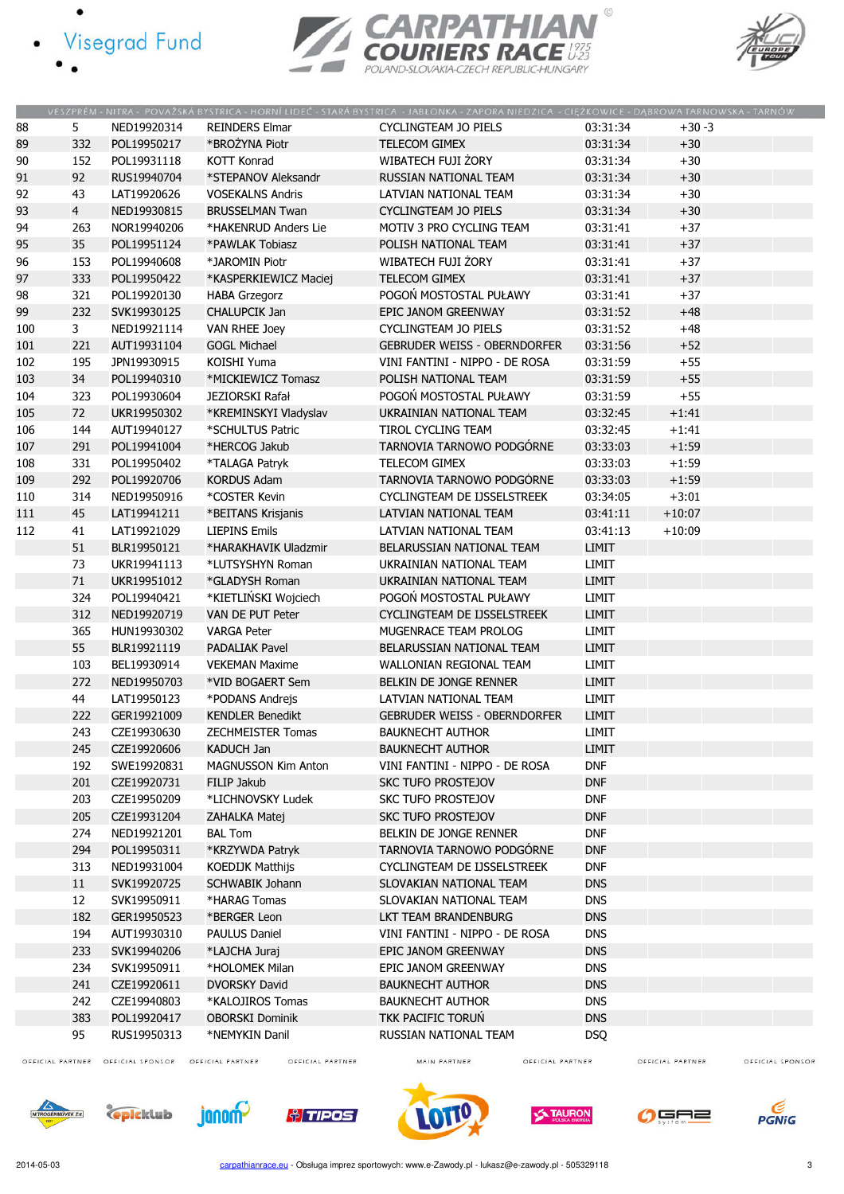- · Visegrad Fund
	-





|        |                |             |                          | VESZPRÉM - NITRA - POVAŽSKÁ BYSTRICA - HORNÍ LIDEČ - STARÁ BYSTRICA - JABŁONKA - ZAPORA NIEDZICA - CIEŽKOWICE - DABROWA TARNOWSKA - TARNÓW |              |          |
|--------|----------------|-------------|--------------------------|--------------------------------------------------------------------------------------------------------------------------------------------|--------------|----------|
| 88     | 5              | NED19920314 | <b>REINDERS Elmar</b>    | CYCLINGTEAM JO PIELS                                                                                                                       | 03:31:34     | $+30-3$  |
| 89     | 332            | POL19950217 | *BROŻYNA Piotr           | <b>TELECOM GIMEX</b>                                                                                                                       | 03:31:34     | $+30$    |
| $90\,$ | 152            | POL19931118 | <b>KOTT Konrad</b>       | WIBATECH FUJI ŻORY                                                                                                                         | 03:31:34     | $+30$    |
| 91     | 92             | RUS19940704 | *STEPANOV Aleksandr      | RUSSIAN NATIONAL TEAM                                                                                                                      | 03:31:34     | $+30$    |
| 92     | 43             | LAT19920626 | <b>VOSEKALNS Andris</b>  | LATVIAN NATIONAL TEAM                                                                                                                      | 03:31:34     | $+30$    |
| 93     | $\overline{4}$ | NED19930815 | <b>BRUSSELMAN Twan</b>   | CYCLINGTEAM JO PIELS                                                                                                                       | 03:31:34     | $+30$    |
| 94     | 263            | NOR19940206 | *HAKENRUD Anders Lie     | MOTIV 3 PRO CYCLING TEAM                                                                                                                   | 03:31:41     | $+37$    |
| 95     | 35             | POL19951124 | *PAWLAK Tobiasz          | POLISH NATIONAL TEAM                                                                                                                       | 03:31:41     | $+37$    |
| 96     | 153            | POL19940608 | *JAROMIN Piotr           | WIBATECH FUJI ŻORY                                                                                                                         | 03:31:41     | $+37$    |
| 97     | 333            | POL19950422 | *KASPERKIEWICZ Maciej    | <b>TELECOM GIMEX</b>                                                                                                                       | 03:31:41     | $+37$    |
| 98     | 321            | POL19920130 | <b>HABA Grzegorz</b>     | POGOŃ MOSTOSTAL PUŁAWY                                                                                                                     | 03:31:41     | $+37$    |
| 99     | 232            | SVK19930125 | CHALUPCIK Jan            | EPIC JANOM GREENWAY                                                                                                                        | 03:31:52     | $+48$    |
| 100    | 3              | NED19921114 | VAN RHEE Joey            | <b>CYCLINGTEAM JO PIELS</b>                                                                                                                | 03:31:52     | $+48$    |
| 101    | 221            | AUT19931104 | <b>GOGL Michael</b>      | <b>GEBRUDER WEISS - OBERNDORFER</b>                                                                                                        | 03:31:56     | $+52$    |
| 102    | 195            | JPN19930915 | KOISHI Yuma              | VINI FANTINI - NIPPO - DE ROSA                                                                                                             | 03:31:59     | $+55$    |
| 103    | 34             | POL19940310 | *MICKIEWICZ Tomasz       | POLISH NATIONAL TEAM                                                                                                                       | 03:31:59     | $+55$    |
| 104    | 323            | POL19930604 | <b>JEZIORSKI Rafał</b>   | POGOŃ MOSTOSTAL PUŁAWY                                                                                                                     | 03:31:59     | $+55$    |
| 105    | 72             | UKR19950302 | *KREMINSKYI Vladyslav    | UKRAINIAN NATIONAL TEAM                                                                                                                    | 03:32:45     | $+1:41$  |
|        | 144            | AUT19940127 | *SCHULTUS Patric         | TIROL CYCLING TEAM                                                                                                                         | 03:32:45     | $+1:41$  |
| 106    | 291            | POL19941004 |                          | TARNOVIA TARNOWO PODGÓRNE                                                                                                                  |              |          |
| 107    |                |             | *HERCOG Jakub            |                                                                                                                                            | 03:33:03     | $+1:59$  |
| 108    | 331            | POL19950402 | *TALAGA Patryk           | TELECOM GIMEX                                                                                                                              | 03:33:03     | $+1:59$  |
| 109    | 292            | POL19920706 | <b>KORDUS Adam</b>       | TARNOVIA TARNOWO PODGÓRNE                                                                                                                  | 03:33:03     | $+1:59$  |
| 110    | 314            | NED19950916 | *COSTER Kevin            | CYCLINGTEAM DE IJSSELSTREEK                                                                                                                | 03:34:05     | $+3:01$  |
| 111    | 45             | LAT19941211 | *BEITANS Krisjanis       | LATVIAN NATIONAL TEAM                                                                                                                      | 03:41:11     | $+10:07$ |
| 112    | 41             | LAT19921029 | <b>LIEPINS Emils</b>     | LATVIAN NATIONAL TEAM                                                                                                                      | 03:41:13     | $+10:09$ |
|        | 51             | BLR19950121 | *HARAKHAVIK Uladzmir     | BELARUSSIAN NATIONAL TEAM                                                                                                                  | <b>LIMIT</b> |          |
|        | 73             | UKR19941113 | *LUTSYSHYN Roman         | UKRAINIAN NATIONAL TEAM                                                                                                                    | LIMIT        |          |
|        | 71             | UKR19951012 | *GLADYSH Roman           | UKRAINIAN NATIONAL TEAM                                                                                                                    | <b>LIMIT</b> |          |
|        | 324            | POL19940421 | *KIETLIŃSKI Wojciech     | POGOŃ MOSTOSTAL PUŁAWY                                                                                                                     | <b>LIMIT</b> |          |
|        | 312            | NED19920719 | VAN DE PUT Peter         | CYCLINGTEAM DE IJSSELSTREEK                                                                                                                | <b>LIMIT</b> |          |
|        | 365            | HUN19930302 | <b>VARGA Peter</b>       | MUGENRACE TEAM PROLOG                                                                                                                      | <b>LIMIT</b> |          |
|        | 55             | BLR19921119 | <b>PADALIAK Pavel</b>    | BELARUSSIAN NATIONAL TEAM                                                                                                                  | <b>LIMIT</b> |          |
|        | 103            | BEL19930914 | <b>VEKEMAN Maxime</b>    | <b>WALLONIAN REGIONAL TEAM</b>                                                                                                             | <b>LIMIT</b> |          |
|        | 272            | NED19950703 | *VID BOGAERT Sem         | BELKIN DE JONGE RENNER                                                                                                                     | <b>LIMIT</b> |          |
|        | 44             | LAT19950123 | *PODANS Andrejs          | LATVIAN NATIONAL TEAM                                                                                                                      | LIMIT        |          |
|        | 222            | GER19921009 | <b>KENDLER Benedikt</b>  | <b>GEBRUDER WEISS - OBERNDORFER</b>                                                                                                        | <b>LIMIT</b> |          |
|        | 243            | CZE19930630 | <b>ZECHMEISTER Tomas</b> | <b>BAUKNECHT AUTHOR</b>                                                                                                                    | <b>LIMIT</b> |          |
|        | 245            | CZE19920606 | KADUCH Jan               | <b>BAUKNECHT AUTHOR</b>                                                                                                                    | <b>LIMIT</b> |          |
|        | 192            | SWE19920831 | MAGNUSSON Kim Anton      | VINI FANTINI - NIPPO - DE ROSA                                                                                                             | <b>DNF</b>   |          |
|        | 201            | CZE19920731 | FILIP Jakub              | <b>SKC TUFO PROSTEJOV</b>                                                                                                                  | <b>DNF</b>   |          |
|        | 203            | CZE19950209 | *LICHNOVSKY Ludek        | SKC TUFO PROSTEJOV                                                                                                                         | <b>DNF</b>   |          |
|        | 205            | CZE19931204 | ZAHALKA Matej            | <b>SKC TUFO PROSTEJOV</b>                                                                                                                  | <b>DNF</b>   |          |
|        | 274            | NED19921201 | <b>BAL Tom</b>           | BELKIN DE JONGE RENNER                                                                                                                     | <b>DNF</b>   |          |
|        | 294            | POL19950311 | *KRZYWDA Patryk          | TARNOVIA TARNOWO PODGÓRNE                                                                                                                  | <b>DNF</b>   |          |
|        | 313            | NED19931004 | <b>KOEDIJK Matthijs</b>  | CYCLINGTEAM DE IJSSELSTREEK                                                                                                                | <b>DNF</b>   |          |
|        | 11             | SVK19920725 | <b>SCHWABIK Johann</b>   | SLOVAKIAN NATIONAL TEAM                                                                                                                    | <b>DNS</b>   |          |
|        | 12             | SVK19950911 | *HARAG Tomas             | SLOVAKIAN NATIONAL TEAM                                                                                                                    | <b>DNS</b>   |          |
|        | 182            | GER19950523 | *BERGER Leon             | LKT TEAM BRANDENBURG                                                                                                                       | <b>DNS</b>   |          |
|        | 194            | AUT19930310 | <b>PAULUS Daniel</b>     | VINI FANTINI - NIPPO - DE ROSA                                                                                                             | <b>DNS</b>   |          |
|        | 233            | SVK19940206 | *LAJCHA Juraj            | EPIC JANOM GREENWAY                                                                                                                        | <b>DNS</b>   |          |
|        | 234            | SVK19950911 | *HOLOMEK Milan           | EPIC JANOM GREENWAY                                                                                                                        | <b>DNS</b>   |          |
|        | 241            | CZE19920611 | DVORSKY David            | <b>BAUKNECHT AUTHOR</b>                                                                                                                    | <b>DNS</b>   |          |
|        | 242            | CZE19940803 | *KALOJIROS Tomas         | <b>BAUKNECHT AUTHOR</b>                                                                                                                    | <b>DNS</b>   |          |
|        | 383            | POL19920417 | <b>OBORSKI Dominik</b>   | TKK PACIFIC TORUN                                                                                                                          | <b>DNS</b>   |          |
|        | 95             | RUS19950313 | *NEMYKIN Danil           | RUSSIAN NATIONAL TEAM                                                                                                                      | <b>DSQ</b>   |          |
|        |                |             |                          |                                                                                                                                            |              |          |

OFFICIAL PARTNER OFFICIAL SPONSOR OFFICIAL PARTNER

OFFICIAL PARTNER

MAIN PARTNER OFFICIAL PARTNER OFFICIAL PARTNER













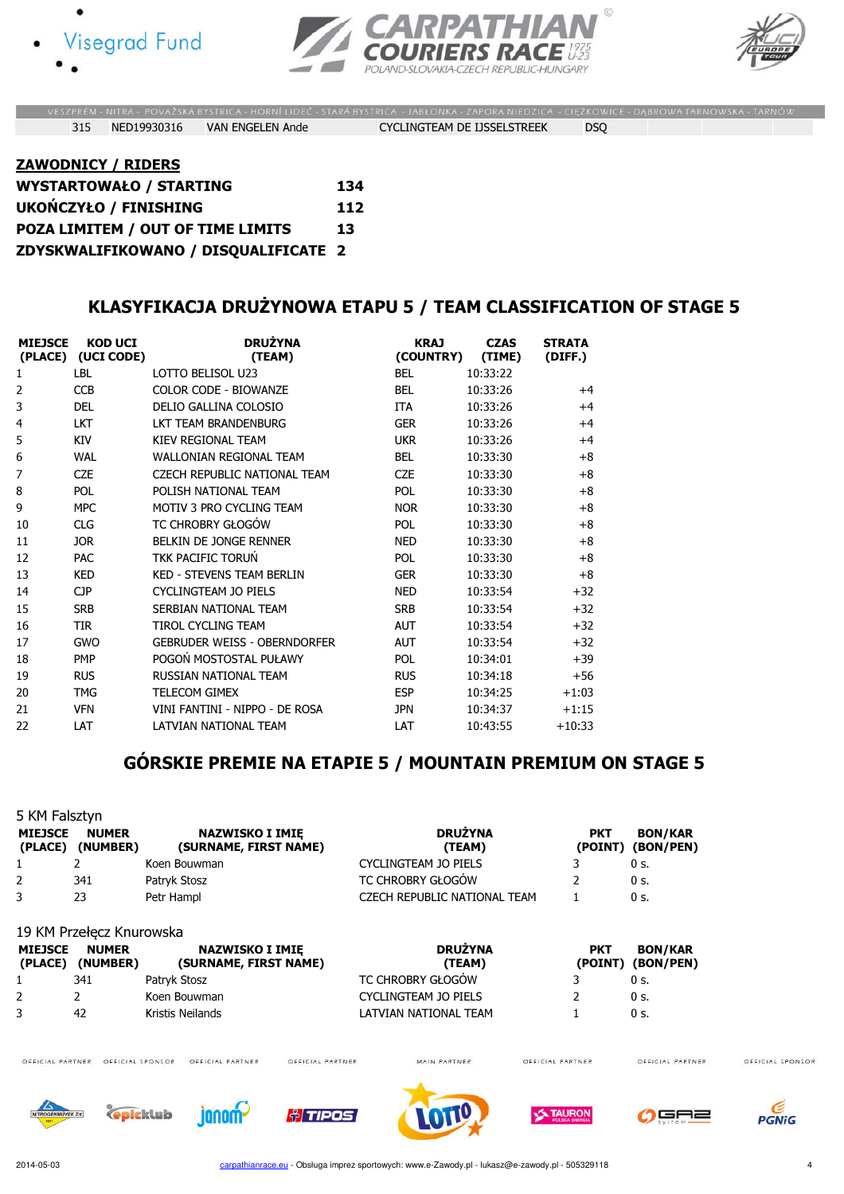





|  |                 |                  | VESZPRÉM - NITRA - POVAŽSKÁ BYSTRICA - HORNÍ LIDEČ - STARÁ BYSTRICA - JABLONKA - ZAPORA NIEDZICA - CIEZKOWICE - DABROWA TARNOWSKA - TARNOW . |            |  |
|--|-----------------|------------------|----------------------------------------------------------------------------------------------------------------------------------------------|------------|--|
|  | 315 NED19930316 | VAN ENGELEN Ande | CYCLINGTEAM DE IJSSELSTREEK                                                                                                                  | <b>DSO</b> |  |

| <b>ZAWODNICY / RIDERS</b>            |     |
|--------------------------------------|-----|
| <b>WYSTARTOWAŁO / STARTING</b>       | 134 |
| <b>UKOŃCZYŁO / FINISHING</b>         | 112 |
| POZA LIMITEM / OUT OF TIME LIMITS    | 13  |
| ZDYSKWALIFIKOWANO / DISQUALIFICATE 2 |     |

### KLASYFIKACJA DRUŻYNOWA ETAPU 5 / TEAM CLASSIFICATION OF STAGE 5

| <b>MIEJSCE</b> | <b>KOD UCI</b><br>(PLACE) (UCI CODE) | <b>DRUŻYNA</b><br>(TEAM)            | <b>KRAJ</b><br>(COUNTRY) | <b>CZAS</b><br>(TIME) | <b>STRATA</b><br>(DIFF.) |
|----------------|--------------------------------------|-------------------------------------|--------------------------|-----------------------|--------------------------|
| 1              | <b>LBL</b>                           | LOTTO BELISOL U23                   | <b>BEL</b>               | 10:33:22              |                          |
| 2              | <b>CCB</b>                           | COLOR CODE - BIOWANZE               | <b>BEL</b>               | 10:33:26              | $+4$                     |
| 3              | <b>DEL</b>                           | DELIO GALLINA COLOSIO               | <b>ITA</b>               | 10:33:26              | $+4$                     |
| $\overline{4}$ | <b>LKT</b>                           | LKT TEAM BRANDENBURG                | <b>GER</b>               | 10:33:26              | $+4$                     |
| 5              | <b>KIV</b>                           | KIFV REGIONAL TEAM                  | <b>UKR</b>               | 10:33:26              | $+4$                     |
| 6              | WAL                                  | <b>WALLONIAN REGIONAL TEAM</b>      | <b>BEL</b>               | 10:33:30              | $+8$                     |
| 7              | <b>CZE</b>                           | CZECH REPUBLIC NATIONAL TEAM        | <b>CZE</b>               | 10:33:30              | $+8$                     |
| 8              | <b>POL</b>                           | POLISH NATIONAL TEAM                | <b>POL</b>               | 10:33:30              | $+8$                     |
| 9              | <b>MPC</b>                           | MOTIV 3 PRO CYCLING TEAM            | <b>NOR</b>               | 10:33:30              | $+8$                     |
| 10             | <b>CLG</b>                           | TC CHROBRY GŁOGÓW                   | <b>POL</b>               | 10:33:30              | $+8$                     |
| 11             | JOR.                                 | BELKIN DE JONGE RENNER              | <b>NED</b>               | 10:33:30              | $+8$                     |
| 12             | <b>PAC</b>                           | TKK PACIFIC TORUN                   | POL                      | 10:33:30              | $+8$                     |
| 13             | <b>KED</b>                           | <b>KFD - STEVENS TEAM BERLIN</b>    | <b>GER</b>               | 10:33:30              | $+8$                     |
| 14             | <b>CJP</b>                           | <b>CYCLINGTEAM JO PIELS</b>         | <b>NED</b>               | 10:33:54              | $+32$                    |
| 15             | <b>SRB</b>                           | SERBIAN NATIONAL TEAM               | <b>SRB</b>               | 10:33:54              | $+32$                    |
| 16             | <b>TIR</b>                           | <b>TIROL CYCLING TEAM</b>           | <b>AUT</b>               | 10:33:54              | $+32$                    |
| 17             | <b>GWO</b>                           | <b>GEBRUDER WEISS - OBERNDORFER</b> | <b>AUT</b>               | 10:33:54              | $+32$                    |
| 18             | <b>PMP</b>                           | POGOŃ MOSTOSTAL PUŁAWY              | <b>POL</b>               | 10:34:01              | $+39$                    |
| 19             | <b>RUS</b>                           | RUSSIAN NATIONAL TEAM               | <b>RUS</b>               | 10:34:18              | $+56$                    |
| 20             | <b>TMG</b>                           | <b>TELECOM GIMEX</b>                | <b>ESP</b>               | 10:34:25              | $+1:03$                  |
| 21             | <b>VFN</b>                           | VINI FANTINI - NIPPO - DE ROSA      | <b>JPN</b>               | 10:34:37              | $+1:15$                  |
| 22             | LAT                                  | LATVIAN NATIONAL TEAM               | LAT                      | 10:43:55              | $+10:33$                 |

# GÓRSKIE PREMIE NA ETAPIE 5 / MOUNTAIN PREMIUM ON STAGE 5

| 5 KM Falsztyn             |                                          |                                                 |                              |            |                                     |
|---------------------------|------------------------------------------|-------------------------------------------------|------------------------------|------------|-------------------------------------|
| <b>MIEJSCE</b><br>(PLACE) | <b>NUMER</b><br>(NUMBER)                 | <b>NAZWISKO I IMIĘ</b><br>(SURNAME, FIRST NAME) | <b>DRUŻYNA</b><br>(TEAM)     | <b>PKT</b> | <b>BON/KAR</b><br>(POINT) (BON/PEN) |
|                           |                                          | Koen Bouwman                                    | <b>CYCLINGTEAM JO PIELS</b>  |            | 0 <sub>s</sub>                      |
| 2                         | 341                                      | Patryk Stosz                                    | <b>TC CHROBRY GŁOGÓW</b>     |            | 0 s.                                |
| 3                         | 23                                       | Petr Hampl                                      | CZECH REPUBLIC NATIONAL TEAM |            | 0 <sub>s</sub>                      |
| <b>MIEJSCE</b>            | 19 KM Przełęcz Knurowska<br><b>NUMER</b> | <b>NAZWISKO I IMIĘ</b>                          | <b>DRUŻYNA</b>               | <b>PKT</b> | <b>BON/KAR</b>                      |
| (PLACE)                   | (NUMBER)                                 | (SURNAME, FIRST NAME)                           | (TEAM)                       |            | (POINT) (BON/PEN)                   |
|                           | 341                                      | Patryk Stosz                                    | TC CHROBRY GŁOGOW            |            | 0 <sub>s</sub>                      |
| 2                         | 2                                        | Koen Bouwman                                    | <b>CYCLINGTEAM JO PIELS</b>  |            | 0 <sub>s</sub>                      |
| 3                         | 42                                       | Kristis Neilands                                | LATVIAN NATIONAL TEAM        |            | 0 <sub>s</sub>                      |
|                           |                                          |                                                 |                              |            |                                     |

OFFICIAL PARTNER OFFICIAL SPONSOR OFFICIAL PARTNER

OFFICIAL PARTNER

MAIN PARTNER

OFFICIAL PARTNER

OFFICIAL PARTNER













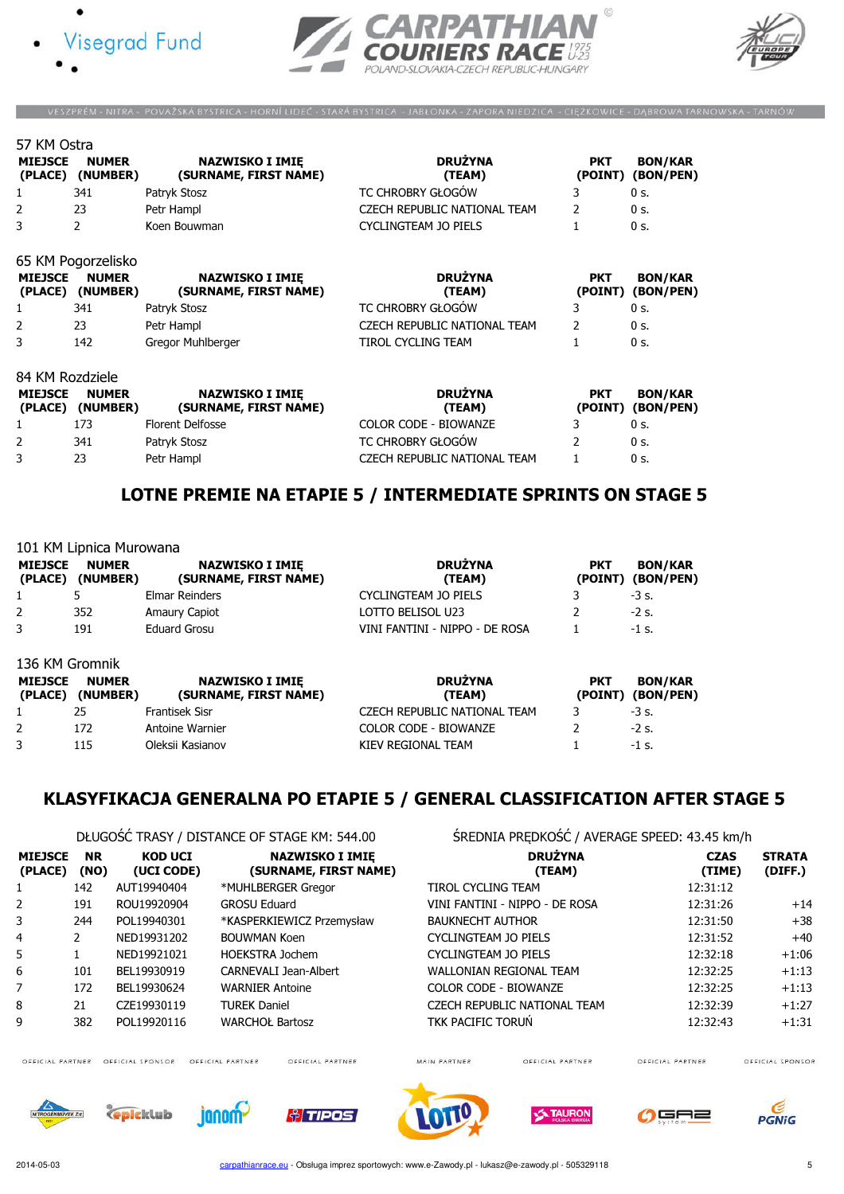





EM - NITRA - POVAŽSKÁ BYSTRICA - HORNÍ LIDEČ - STARÁ BYSTRICA - JABŁONKA - ZAPORA NIEDZICA - CIĘŻKOWICE - DĄBROWA TARNOWSKA

| 57 KM Ostra               |                          |                                                 |                                     |                       |                             |
|---------------------------|--------------------------|-------------------------------------------------|-------------------------------------|-----------------------|-----------------------------|
| <b>MIEJSCE</b><br>(PLACE) | <b>NUMER</b><br>(NUMBER) | <b>NAZWISKO I IMIE</b><br>(SURNAME, FIRST NAME) | <b>DRUŻYNA</b><br>(TEAM)            | <b>PKT</b><br>(POINT) | <b>BON/KAR</b><br>(BON/PEN) |
| 1                         | 341                      | Patryk Stosz                                    | TC CHROBRY GŁOGÓW                   | 3                     | 0 <sub>s</sub>              |
| 2                         | 23                       | Petr Hampl                                      | CZECH REPUBLIC NATIONAL TEAM        |                       | 0 <sub>s</sub>              |
| 3                         | 2                        | Koen Bouwman                                    | <b>CYCLINGTEAM JO PIELS</b>         |                       | 0 <sub>s</sub>              |
|                           | 65 KM Pogorzelisko       |                                                 |                                     |                       |                             |
| <b>MIEJSCE</b><br>(PLACE) | <b>NUMER</b><br>(NUMBER) | <b>NAZWISKO I IMIE</b><br>(SURNAME, FIRST NAME) | <b>DRUŻYNA</b><br>(TEAM)            | <b>PKT</b><br>(POINT) | <b>BON/KAR</b><br>(BON/PEN) |
| 1                         | 341                      | Patryk Stosz                                    | TC CHROBRY GŁOGÓW                   | 3                     | 0 <sub>s</sub>              |
| 2                         | 23                       | Petr Hampl                                      | <b>CZECH REPUBLIC NATIONAL TEAM</b> | 2                     | 0 <sub>s</sub>              |
| 3                         | 142                      | Gregor Muhlberger                               | <b>TIROL CYCLING TEAM</b>           |                       | 0 <sub>s</sub>              |
| 84 KM Rozdziele           |                          |                                                 |                                     |                       |                             |

| <b>MIEJSCE</b><br>(PLACE) | <b>NUMER</b><br>(NUMBER) | <b>NAZWISKO I IMIE</b><br>(SURNAME, FIRST NAME) | <b>DRUŻYNA</b><br>(TEAM)     | <b>PKT</b> | <b>BON/KAR</b><br>(POINT) (BON/PEN) |
|---------------------------|--------------------------|-------------------------------------------------|------------------------------|------------|-------------------------------------|
|                           | 173                      | <b>Florent Delfosse</b>                         | <b>COLOR CODE - BIOWANZE</b> |            | 0 s.                                |
|                           | 341                      | Patryk Stosz                                    | TC CHROBRY GŁOGÓW            |            | 0 s.                                |
|                           | 23                       | Petr Hampl                                      | CZECH REPUBLIC NATIONAL TEAM |            | 0 s.                                |

### LOTNE PREMIE NA ETAPIE 5 / INTERMEDIATE SPRINTS ON STAGE 5

|                           | 101 KM Lipnica Murowana  |                                                 |                                |                       |                             |
|---------------------------|--------------------------|-------------------------------------------------|--------------------------------|-----------------------|-----------------------------|
| <b>MIEJSCE</b><br>(PLACE) | <b>NUMER</b><br>(NUMBER) | <b>NAZWISKO I IMIE</b><br>(SURNAME, FIRST NAME) | <b>DRUŻYNA</b><br>(TEAM)       | <b>PKT</b><br>(POINT) | <b>BON/KAR</b><br>(BON/PEN) |
| 1                         | 5                        | <b>Elmar Reinders</b>                           | CYCLINGTEAM JO PIELS           |                       | -3 s.                       |
| 2                         | 352                      | Amaury Capiot                                   | LOTTO BELISOL U23              |                       | $-2$ s.                     |
| 3                         | 191                      | Eduard Grosu                                    | VINI FANTINI - NIPPO - DE ROSA |                       | $-1$ s.                     |
| 136 KM Gromnik            |                          |                                                 |                                |                       |                             |
| <b>MIEJSCE</b><br>(PLACE) | <b>NUMER</b><br>(NUMBER) | <b>NAZWISKO I IMIE</b><br>(SURNAME, FIRST NAME) | <b>DRUŻYNA</b><br>(TEAM)       | <b>PKT</b><br>(POINT) | <b>BON/KAR</b><br>(BON/PEN) |
|                           | 25                       | <b>Frantisek Sisr</b>                           | CZECH REPUBLIC NATIONAL TEAM   |                       | -3 s.                       |

2 172 Antoine Warnier COLOR CODE - BIOWANZE 2 -2 s. 3 115 Oleksii Kasianov KIEV REGIONAL TEAM 1 -1 s.

# KLASYFIKACJA GENERALNA PO ETAPIE 5 / GENERAL CLASSIFICATION AFTER STAGE 5

DŁUGOŚĆ TRASY / DISTANCE OF STAGE KM: 544.00 ŚREDNIA PRĘDKOŚĆ / AVERAGE SPEED: 43.45 km/h

| <b>MIEJSCE</b><br>(PLACE) | <b>NR</b><br>(NO) | <b>KOD UCI</b><br>(UCI CODE) | <b>NAZWISKO I IMIE</b><br>(SURNAME, FIRST NAME) | <b>DRUŻYNA</b><br>(TEAM)       | <b>CZAS</b><br>(TIME) | <b>STRATA</b><br>(DIFF.) |
|---------------------------|-------------------|------------------------------|-------------------------------------------------|--------------------------------|-----------------------|--------------------------|
|                           | 142               | AUT19940404                  | *MUHLBERGER Gregor                              | TIROL CYCLING TEAM             | 12:31:12              |                          |
| 2                         | 191               | ROU19920904                  | <b>GROSU Eduard</b>                             | VINI FANTINI - NIPPO - DE ROSA | 12:31:26              | $+14$                    |
| 3                         | 244               | POL19940301                  | *KASPERKIEWICZ Przemysław                       | <b>BAUKNECHT AUTHOR</b>        | 12:31:50              | $+38$                    |
| 4                         |                   | NED19931202                  | <b>BOUWMAN Koen</b>                             | CYCLINGTEAM JO PIELS           | 12:31:52              | $+40$                    |
| 5                         |                   | NED19921021                  | <b>HOEKSTRA Jochem</b>                          | <b>CYCLINGTEAM JO PIELS</b>    | 12:32:18              | $+1:06$                  |
| 6                         | 101               | BEL19930919                  | CARNEVALI Jean-Albert                           | <b>WALLONIAN REGIONAL TEAM</b> | 12:32:25              | $+1:13$                  |
|                           | 172               | BEL19930624                  | <b>WARNIER Antoine</b>                          | <b>COLOR CODE - BIOWANZE</b>   | 12:32:25              | $+1:13$                  |
| 8                         | 21                | CZE19930119                  | <b>TUREK Daniel</b>                             | CZECH REPUBLIC NATIONAL TEAM   | 12:32:39              | $+1:27$                  |
| 9                         | 382               | POL19920116                  | <b>WARCHOŁ Bartosz</b>                          | TKK PACIFIC TORUN              | 12:32:43              | $+1:31$                  |

OFFICIAL PARTNER OFFICIAL SPONSOR OFFICIAL PARTNER

OFFICIAL PARTNER

MAIN PARTNER

OFFICIAL PARTNER

OFFICIAL SPONSOR











OFFICIAL PARTNER



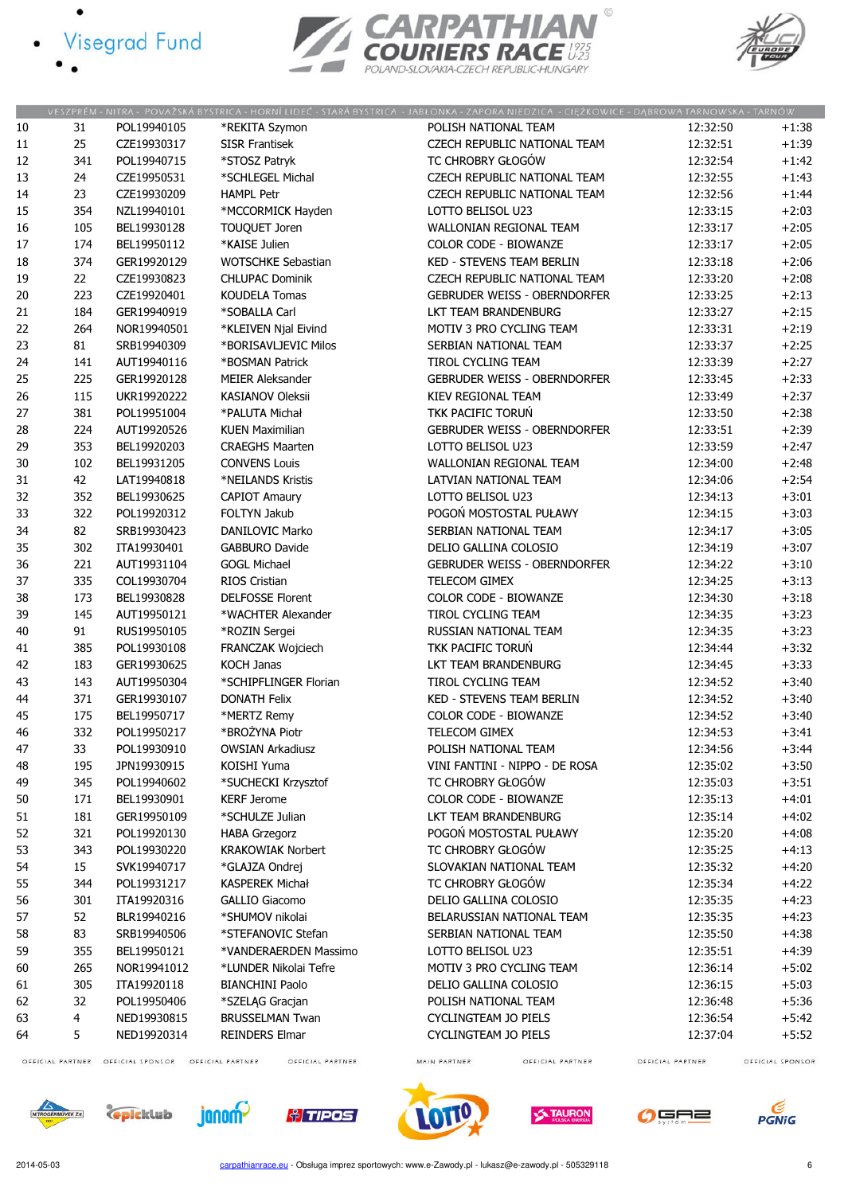- · Visegrad Fund
	-





|    |                  |                  |                                      | VESZPRÉM - NITRA - POVAŽSKÁ BYSTRICA - HORNÍ LIDEČ - STARÁ BYSTRICA - JABŁONKA - ZAPORA NIEDZICA - CIĘŻKOWICE - DABROWA TARNOWSKA - TARNÓW |                  |                  |
|----|------------------|------------------|--------------------------------------|--------------------------------------------------------------------------------------------------------------------------------------------|------------------|------------------|
| 10 | 31               | POL19940105      | *REKITA Szymon                       | POLISH NATIONAL TEAM                                                                                                                       | 12:32:50         | $+1:38$          |
| 11 | 25               | CZE19930317      | <b>SISR Frantisek</b>                | CZECH REPUBLIC NATIONAL TEAM                                                                                                               | 12:32:51         | $+1:39$          |
| 12 | 341              | POL19940715      | *STOSZ Patryk                        | TC CHROBRY GŁOGÓW                                                                                                                          | 12:32:54         | $+1:42$          |
| 13 | 24               | CZE19950531      | *SCHLEGEL Michal                     | CZECH REPUBLIC NATIONAL TEAM                                                                                                               | 12:32:55         | $+1:43$          |
| 14 | 23               | CZE19930209      | <b>HAMPL Petr</b>                    | CZECH REPUBLIC NATIONAL TEAM                                                                                                               | 12:32:56         | $+1:44$          |
| 15 | 354              | NZL19940101      | *MCCORMICK Hayden                    | LOTTO BELISOL U23                                                                                                                          | 12:33:15         | $+2:03$          |
| 16 | 105              | BEL19930128      | <b>TOUQUET Joren</b>                 | WALLONIAN REGIONAL TEAM                                                                                                                    | 12:33:17         | $+2:05$          |
|    | 174              | BEL19950112      | *KAISE Julien                        | COLOR CODE - BIOWANZE                                                                                                                      |                  | $+2:05$          |
| 17 | 374              | GER19920129      | <b>WOTSCHKE Sebastian</b>            | KED - STEVENS TEAM BERLIN                                                                                                                  | 12:33:17         | $+2:06$          |
| 18 |                  |                  |                                      |                                                                                                                                            | 12:33:18         |                  |
| 19 | 22               | CZE19930823      | <b>CHLUPAC Dominik</b>               | CZECH REPUBLIC NATIONAL TEAM                                                                                                               | 12:33:20         | $+2:08$          |
| 20 | 223              | CZE19920401      | <b>KOUDELA Tomas</b>                 | <b>GEBRUDER WEISS - OBERNDORFER</b>                                                                                                        | 12:33:25         | $+2:13$          |
| 21 | 184              | GER19940919      | *SOBALLA Carl                        | LKT TEAM BRANDENBURG                                                                                                                       | 12:33:27         | $+2:15$          |
| 22 | 264              | NOR19940501      | *KLEIVEN Njal Eivind                 | MOTIV 3 PRO CYCLING TEAM                                                                                                                   | 12:33:31         | $+2:19$          |
| 23 | 81               | SRB19940309      | *BORISAVLJEVIC Milos                 | SERBIAN NATIONAL TEAM                                                                                                                      | 12:33:37         | $+2:25$          |
| 24 | 141              | AUT19940116      | *BOSMAN Patrick                      | TIROL CYCLING TEAM                                                                                                                         | 12:33:39         | $+2:27$          |
| 25 | 225              | GER19920128      | <b>MEIER Aleksander</b>              | <b>GEBRUDER WEISS - OBERNDORFER</b>                                                                                                        | 12:33:45         | $+2:33$          |
| 26 | 115              | UKR19920222      | <b>KASIANOV Oleksii</b>              | KIEV REGIONAL TEAM                                                                                                                         | 12:33:49         | $+2:37$          |
| 27 | 381              | POL19951004      | *PALUTA Michał                       | TKK PACIFIC TORUŃ                                                                                                                          | 12:33:50         | $+2:38$          |
| 28 | 224              | AUT19920526      | <b>KUEN Maximilian</b>               | <b>GEBRUDER WEISS - OBERNDORFER</b>                                                                                                        | 12:33:51         | $+2:39$          |
| 29 | 353              | BEL19920203      | <b>CRAEGHS Maarten</b>               | LOTTO BELISOL U23                                                                                                                          | 12:33:59         | $+2:47$          |
| 30 | 102              | BEL19931205      | <b>CONVENS Louis</b>                 | WALLONIAN REGIONAL TEAM                                                                                                                    | 12:34:00         | $+2:48$          |
| 31 | 42               | LAT19940818      | *NEILANDS Kristis                    | LATVIAN NATIONAL TEAM                                                                                                                      | 12:34:06         | $+2:54$          |
| 32 | 352              | BEL19930625      | <b>CAPIOT Amaury</b>                 | LOTTO BELISOL U23                                                                                                                          | 12:34:13         | $+3:01$          |
| 33 | 322              | POL19920312      | FOLTYN Jakub                         | POGOŃ MOSTOSTAL PUŁAWY                                                                                                                     | 12:34:15         | $+3:03$          |
| 34 | 82               | SRB19930423      | DANILOVIC Marko                      | SERBIAN NATIONAL TEAM                                                                                                                      | 12:34:17         | $+3:05$          |
| 35 | 302              | ITA19930401      | <b>GABBURO Davide</b>                | DELIO GALLINA COLOSIO                                                                                                                      | 12:34:19         | $+3:07$          |
| 36 | 221              | AUT19931104      | <b>GOGL Michael</b>                  | <b>GEBRUDER WEISS - OBERNDORFER</b>                                                                                                        | 12:34:22         | $+3:10$          |
| 37 | 335              | COL19930704      | RIOS Cristian                        | TELECOM GIMEX                                                                                                                              | 12:34:25         | $+3:13$          |
| 38 | 173              | BEL19930828      | <b>DELFOSSE Florent</b>              | COLOR CODE - BIOWANZE                                                                                                                      | 12:34:30         | $+3:18$          |
| 39 | 145              | AUT19950121      | *WACHTER Alexander                   | TIROL CYCLING TEAM                                                                                                                         | 12:34:35         | $+3:23$          |
| 40 | 91               | RUS19950105      | *ROZIN Sergei                        | RUSSIAN NATIONAL TEAM                                                                                                                      | 12:34:35         | $+3:23$          |
| 41 | 385              | POL19930108      | <b>FRANCZAK Wojciech</b>             | TKK PACIFIC TORUN                                                                                                                          | 12:34:44         | $+3:32$          |
| 42 | 183              | GER19930625      | <b>KOCH Janas</b>                    | LKT TEAM BRANDENBURG                                                                                                                       | 12:34:45         | $+3:33$          |
| 43 | 143              | AUT19950304      | *SCHIPFLINGER Florian                | TIROL CYCLING TEAM                                                                                                                         | 12:34:52         | $+3:40$          |
| 44 | 371              | GER19930107      | <b>DONATH Felix</b>                  | KED - STEVENS TEAM BERLIN                                                                                                                  | 12:34:52         | $+3:40$          |
| 45 | 175              |                  |                                      | COLOR CODE - BIOWANZE                                                                                                                      |                  | $+3:40$          |
|    |                  | BEL19950717      | *MERTZ Remy                          |                                                                                                                                            | 12:34:52         |                  |
| 46 | 332              | POL19950217      | *BROŻYNA Piotr                       | TELECOM GIMEX<br>POLISH NATIONAL TEAM                                                                                                      | 12:34:53         | $+3:41$          |
| 47 | 33               | POL19930910      | <b>OWSIAN Arkadiusz</b>              |                                                                                                                                            | 12:34:56         | $+3:44$          |
| 48 | 195              | JPN19930915      | KOISHI Yuma                          | VINI FANTINI - NIPPO - DE ROSA                                                                                                             | 12:35:02         | $+3:50$          |
| 49 | 345              | POL19940602      | *SUCHECKI Krzysztof                  | TC CHROBRY GŁOGÓW                                                                                                                          | 12:35:03         | $+3:51$          |
| 50 | 171              | BEL19930901      | <b>KERF Jerome</b>                   | COLOR CODE - BIOWANZE                                                                                                                      | 12:35:13         | $+4:01$          |
| 51 | 181              | GER19950109      | *SCHULZE Julian                      | LKT TEAM BRANDENBURG                                                                                                                       | 12:35:14         | $+4:02$          |
| 52 | 321              | POL19920130      | <b>HABA Grzegorz</b>                 | POGOŃ MOSTOSTAL PUŁAWY                                                                                                                     | 12:35:20         | $+4:08$          |
| 53 | 343              | POL19930220      | <b>KRAKOWIAK Norbert</b>             | TC CHROBRY GŁOGÓW                                                                                                                          | 12:35:25         | $+4:13$          |
| 54 | 15               | SVK19940717      | *GLAJZA Ondrej                       | SLOVAKIAN NATIONAL TEAM                                                                                                                    | 12:35:32         | $+4:20$          |
| 55 | 344              | POL19931217      | <b>KASPEREK Michał</b>               | TC CHROBRY GŁOGÓW                                                                                                                          | 12:35:34         | $+4:22$          |
| 56 | 301              | ITA19920316      | <b>GALLIO Giacomo</b>                | DELIO GALLINA COLOSIO                                                                                                                      | 12:35:35         | $+4:23$          |
| 57 | 52               | BLR19940216      | *SHUMOV nikolai                      | BELARUSSIAN NATIONAL TEAM                                                                                                                  | 12:35:35         | $+4:23$          |
| 58 | 83               | SRB19940506      | *STEFANOVIC Stefan                   | SERBIAN NATIONAL TEAM                                                                                                                      | 12:35:50         | $+4:38$          |
| 59 | 355              | BEL19950121      | *VANDERAERDEN Massimo                | LOTTO BELISOL U23                                                                                                                          | 12:35:51         | $+4:39$          |
| 60 | 265              | NOR19941012      | *LUNDER Nikolai Tefre                | MOTIV 3 PRO CYCLING TEAM                                                                                                                   | 12:36:14         | $+5:02$          |
| 61 | 305              | ITA19920118      | <b>BIANCHINI Paolo</b>               | DELIO GALLINA COLOSIO                                                                                                                      | 12:36:15         | $+5:03$          |
| 62 | 32               | POL19950406      | *SZELAG Gracjan                      | POLISH NATIONAL TEAM                                                                                                                       | 12:36:48         | $+5:36$          |
| 63 | 4                | NED19930815      | <b>BRUSSELMAN Twan</b>               | CYCLINGTEAM JO PIELS                                                                                                                       | 12:36:54         | $+5:42$          |
| 64 | 5                | NED19920314      | <b>REINDERS Elmar</b>                | CYCLINGTEAM JO PIELS                                                                                                                       | 12:37:04         | $+5:52$          |
|    | OFFICIAL PARTNER | OFFICIAL SPONSOR | OFFICIAL PARTNER<br>OFFICIAL PARTNER | OFFICIAL PARTNER<br>MAIN PARTNER                                                                                                           | OFFICIAL PARTNER | OFFICIAL SPONSOR |

OFFICIAL PARTNER













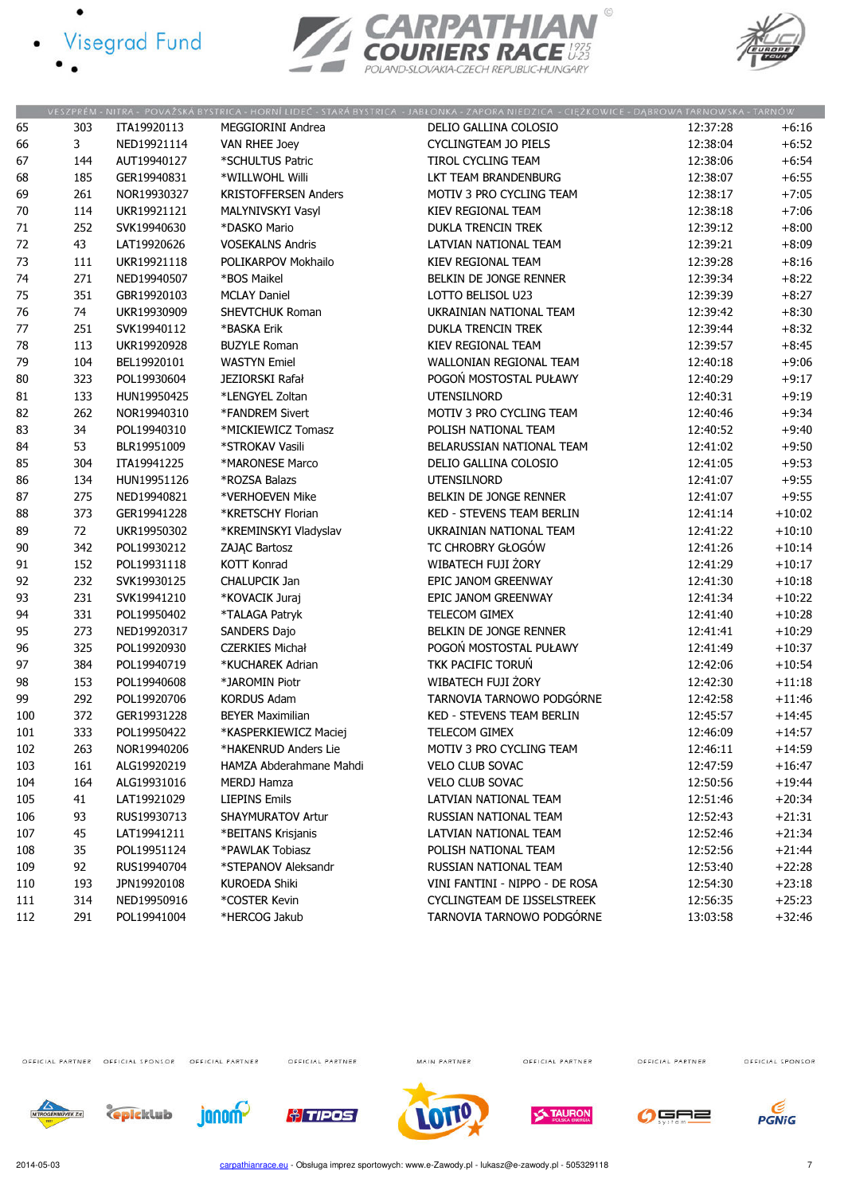- · Visegrad Fund
	-





|        |     |             |                             | VESZPRÉM - NITRA - POVAŽSKÁ BYSTRICA - HORNÍ LIDEČ - STARÁ BYSTRICA - JABŁONKA - ZAPORA NIEDZICA - CIĘŻKOWICE - DĄBROWA TARNOWSKA - TARNÓW |          |          |
|--------|-----|-------------|-----------------------------|--------------------------------------------------------------------------------------------------------------------------------------------|----------|----------|
| 65     | 303 | ITA19920113 | <b>MEGGIORINI Andrea</b>    | DELIO GALLINA COLOSIO                                                                                                                      | 12:37:28 | $+6:16$  |
| 66     | 3   | NED19921114 | VAN RHEE Joey               | CYCLINGTEAM JO PIELS                                                                                                                       | 12:38:04 | $+6:52$  |
| 67     | 144 | AUT19940127 | *SCHULTUS Patric            | TIROL CYCLING TEAM                                                                                                                         | 12:38:06 | $+6:54$  |
| 68     | 185 | GER19940831 | *WILLWOHL Willi             | LKT TEAM BRANDENBURG                                                                                                                       | 12:38:07 | $+6:55$  |
| 69     | 261 | NOR19930327 | <b>KRISTOFFERSEN Anders</b> | MOTIV 3 PRO CYCLING TEAM                                                                                                                   | 12:38:17 | $+7:05$  |
| $70\,$ | 114 | UKR19921121 | MALYNIVSKYI Vasyl           | KIEV REGIONAL TEAM                                                                                                                         | 12:38:18 | $+7:06$  |
| 71     | 252 | SVK19940630 | *DASKO Mario                | <b>DUKLA TRENCIN TREK</b>                                                                                                                  | 12:39:12 | $+8:00$  |
| 72     | 43  | LAT19920626 | <b>VOSEKALNS Andris</b>     | LATVIAN NATIONAL TEAM                                                                                                                      | 12:39:21 | $+8:09$  |
| 73     | 111 | UKR19921118 | POLIKARPOV Mokhailo         | KIEV REGIONAL TEAM                                                                                                                         | 12:39:28 | $+8:16$  |
| 74     | 271 | NED19940507 | *BOS Maikel                 | BELKIN DE JONGE RENNER                                                                                                                     | 12:39:34 | $+8:22$  |
| 75     | 351 | GBR19920103 | <b>MCLAY Daniel</b>         | LOTTO BELISOL U23                                                                                                                          | 12:39:39 | $+8:27$  |
| 76     | 74  | UKR19930909 | SHEVTCHUK Roman             | UKRAINIAN NATIONAL TEAM                                                                                                                    | 12:39:42 | $+8:30$  |
| 77     | 251 | SVK19940112 | *BASKA Erik                 | <b>DUKLA TRENCIN TREK</b>                                                                                                                  | 12:39:44 | $+8:32$  |
| 78     | 113 | UKR19920928 | <b>BUZYLE Roman</b>         | KIEV REGIONAL TEAM                                                                                                                         | 12:39:57 | $+8:45$  |
| 79     | 104 | BEL19920101 | <b>WASTYN Emiel</b>         | WALLONIAN REGIONAL TEAM                                                                                                                    | 12:40:18 | $+9:06$  |
| 80     | 323 | POL19930604 | JEZIORSKI Rafał             | POGOŃ MOSTOSTAL PUŁAWY                                                                                                                     | 12:40:29 | $+9:17$  |
| 81     | 133 | HUN19950425 | *LENGYEL Zoltan             | <b>UTENSILNORD</b>                                                                                                                         | 12:40:31 | $+9:19$  |
| 82     | 262 | NOR19940310 | *FANDREM Sivert             | MOTIV 3 PRO CYCLING TEAM                                                                                                                   | 12:40:46 | $+9:34$  |
| 83     | 34  | POL19940310 | *MICKIEWICZ Tomasz          | POLISH NATIONAL TEAM                                                                                                                       | 12:40:52 | $+9:40$  |
| 84     | 53  | BLR19951009 | *STROKAV Vasili             | BELARUSSIAN NATIONAL TEAM                                                                                                                  | 12:41:02 | $+9:50$  |
| 85     | 304 | ITA19941225 | *MARONESE Marco             | DELIO GALLINA COLOSIO                                                                                                                      | 12:41:05 | $+9:53$  |
| 86     | 134 | HUN19951126 | *ROZSA Balazs               | <b>UTENSILNORD</b>                                                                                                                         | 12:41:07 | $+9:55$  |
| 87     | 275 | NED19940821 | *VERHOEVEN Mike             | BELKIN DE JONGE RENNER                                                                                                                     | 12:41:07 | $+9:55$  |
| 88     | 373 | GER19941228 | *KRETSCHY Florian           | KED - STEVENS TEAM BERLIN                                                                                                                  | 12:41:14 | $+10:02$ |
| 89     | 72  | UKR19950302 | *KREMINSKYI Vladyslav       | UKRAINIAN NATIONAL TEAM                                                                                                                    | 12:41:22 | $+10:10$ |
| 90     | 342 | POL19930212 | ZAJĄC Bartosz               | TC CHROBRY GŁOGÓW                                                                                                                          | 12:41:26 | $+10:14$ |
| 91     | 152 | POL19931118 | KOTT Konrad                 | WIBATECH FUJI ŻORY                                                                                                                         | 12:41:29 | $+10:17$ |
| 92     | 232 | SVK19930125 | CHALUPCIK Jan               | EPIC JANOM GREENWAY                                                                                                                        | 12:41:30 | $+10:18$ |
| 93     | 231 | SVK19941210 | *KOVACIK Juraj              | EPIC JANOM GREENWAY                                                                                                                        | 12:41:34 | $+10:22$ |
| 94     | 331 | POL19950402 | *TALAGA Patryk              | TELECOM GIMEX                                                                                                                              | 12:41:40 | $+10:28$ |
| 95     | 273 | NED19920317 | SANDERS Dajo                | BELKIN DE JONGE RENNER                                                                                                                     | 12:41:41 | $+10:29$ |
| 96     | 325 | POL19920930 | <b>CZERKIES Michał</b>      | POGOŃ MOSTOSTAL PUŁAWY                                                                                                                     | 12:41:49 | $+10:37$ |
| 97     | 384 | POL19940719 | *KUCHAREK Adrian            | TKK PACIFIC TORUN                                                                                                                          | 12:42:06 | $+10:54$ |
| 98     | 153 | POL19940608 | *JAROMIN Piotr              | WIBATECH FUJI ŻORY                                                                                                                         | 12:42:30 | $+11:18$ |
| 99     | 292 | POL19920706 | <b>KORDUS Adam</b>          | TARNOVIA TARNOWO PODGÓRNE                                                                                                                  | 12:42:58 | $+11:46$ |
| 100    | 372 | GER19931228 | <b>BEYER Maximilian</b>     | KED - STEVENS TEAM BERLIN                                                                                                                  | 12:45:57 | $+14:45$ |
| 101    | 333 | POL19950422 | *KASPERKIEWICZ Maciej       | TELECOM GIMEX                                                                                                                              | 12:46:09 | $+14:57$ |
| 102    | 263 | NOR19940206 | *HAKENRUD Anders Lie        | MOTIV 3 PRO CYCLING TEAM                                                                                                                   | 12:46:11 | $+14:59$ |
| 103    | 161 | ALG19920219 | HAMZA Abderahmane Mahdi     | <b>VELO CLUB SOVAC</b>                                                                                                                     | 12:47:59 | $+16:47$ |
| 104    | 164 | ALG19931016 | <b>MERDJ Hamza</b>          | VELO CLUB SOVAC                                                                                                                            | 12:50:56 | $+19:44$ |
| 105    | 41  | LAT19921029 | <b>LIEPINS Emils</b>        | LATVIAN NATIONAL TEAM                                                                                                                      | 12:51:46 | $+20:34$ |
| 106    | 93  | RUS19930713 | SHAYMURATOV Artur           | RUSSIAN NATIONAL TEAM                                                                                                                      | 12:52:43 | $+21:31$ |
| 107    | 45  | LAT19941211 | *BEITANS Krisjanis          | LATVIAN NATIONAL TEAM                                                                                                                      | 12:52:46 | $+21:34$ |
| 108    | 35  | POL19951124 | *PAWLAK Tobiasz             | POLISH NATIONAL TEAM                                                                                                                       | 12:52:56 | $+21:44$ |
| 109    | 92  | RUS19940704 | *STEPANOV Aleksandr         | RUSSIAN NATIONAL TEAM                                                                                                                      | 12:53:40 | $+22:28$ |
| 110    | 193 | JPN19920108 | <b>KUROEDA Shiki</b>        | VINI FANTINI - NIPPO - DE ROSA                                                                                                             | 12:54:30 | $+23:18$ |
| 111    | 314 | NED19950916 | *COSTER Kevin               | CYCLINGTEAM DE IJSSELSTREEK                                                                                                                | 12:56:35 | $+25:23$ |
| 112    | 291 | POL19941004 | *HERCOG Jakub               | TARNOVIA TARNOWO PODGÓRNE                                                                                                                  | 13:03:58 | $+32:46$ |

OFFICIAL PARTNER OFFICIAL SPONSOR OFFICIAL PARTNER

OFFICIAL PARTNER

MAIN PARTNER

OFFICIAL PARTNER

OFFICIAL PARTNER















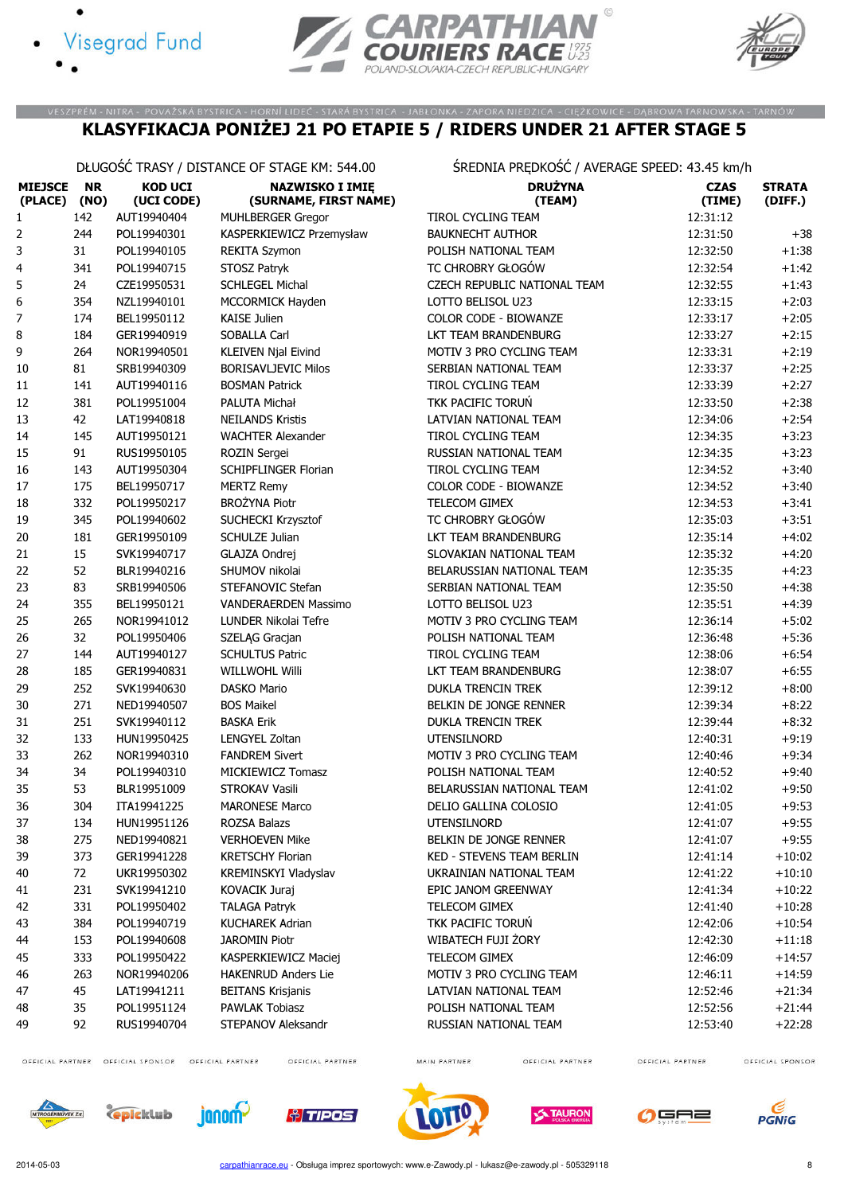





#### VESZPRÉM - NITRA - POVAŽSKÁ BYSTRICA - HORNÍ LIDEČ - STARÁ BYSTRICA - JABŁONKA - ZAPORA NIEDZICA - CIĘŻKOWICE - DĄBROWA TARNOWSKA - TARNÓW KLASYFIKACJA PONIŻEJ 21 PO ETAPIE 5 / RIDERS UNDER 21 AFTER STAGE 5

DŁUGOŚĆ TRASY / DISTANCE OF STAGE KM: 544.00 ŚREDNIA PRĘDKOŚĆ / AVERAGE SPEED: 43.45 km/h

| <b>MIEJSCE</b><br>(PLACE) (NO) | <b>NR</b> | <b>KOD UCI</b><br>(UCI CODE) | <b>NAZWISKO I IMIĘ</b><br>(SURNAME, FIRST NAME) | <b>DRUŻYNA</b><br>(TEAM)     | <b>CZAS</b><br>(TIME) | <b>STRATA</b><br>(DIFF.) |
|--------------------------------|-----------|------------------------------|-------------------------------------------------|------------------------------|-----------------------|--------------------------|
| 1                              | 142       | AUT19940404                  | <b>MUHLBERGER Gregor</b>                        | TIROL CYCLING TEAM           | 12:31:12              |                          |
| 2                              | 244       | POL19940301                  | KASPERKIEWICZ Przemysław                        | <b>BAUKNECHT AUTHOR</b>      | 12:31:50              | $+38$                    |
| 3                              | 31        | POL19940105                  | <b>REKITA Szymon</b>                            | POLISH NATIONAL TEAM         | 12:32:50              | $+1:38$                  |
| 4                              | 341       | POL19940715                  | STOSZ Patryk                                    | TC CHROBRY GŁOGÓW            | 12:32:54              | $+1:42$                  |
| 5                              | 24        | CZE19950531                  | <b>SCHLEGEL Michal</b>                          | CZECH REPUBLIC NATIONAL TEAM | 12:32:55              | $+1:43$                  |
| 6                              | 354       | NZL19940101                  | MCCORMICK Hayden                                | LOTTO BELISOL U23            | 12:33:15              | $+2:03$                  |
| 7                              | 174       | BEL19950112                  | <b>KAISE Julien</b>                             | COLOR CODE - BIOWANZE        | 12:33:17              | $+2:05$                  |
| 8                              | 184       | GER19940919                  | SOBALLA Carl                                    | LKT TEAM BRANDENBURG         | 12:33:27              | $+2:15$                  |
| 9                              | 264       | NOR19940501                  | <b>KLEIVEN Njal Eivind</b>                      | MOTIV 3 PRO CYCLING TEAM     | 12:33:31              | $+2:19$                  |
| 10                             | 81        | SRB19940309                  | <b>BORISAVLJEVIC Milos</b>                      | SERBIAN NATIONAL TEAM        | 12:33:37              | $+2:25$                  |
| 11                             | 141       | AUT19940116                  | <b>BOSMAN Patrick</b>                           | TIROL CYCLING TEAM           | 12:33:39              | $+2:27$                  |
| 12                             | 381       | POL19951004                  | PALUTA Michał                                   | TKK PACIFIC TORUŃ            | 12:33:50              | $+2:38$                  |
| 13                             | 42        | LAT19940818                  | <b>NEILANDS Kristis</b>                         | LATVIAN NATIONAL TEAM        | 12:34:06              | $+2:54$                  |
| 14                             | 145       | AUT19950121                  | <b>WACHTER Alexander</b>                        | TIROL CYCLING TEAM           | 12:34:35              | $+3:23$                  |
| 15                             | 91        | RUS19950105                  | ROZIN Sergei                                    | RUSSIAN NATIONAL TEAM        | 12:34:35              | $+3:23$                  |
| 16                             | 143       | AUT19950304                  | SCHIPFLINGER Florian                            | <b>TIROL CYCLING TEAM</b>    | 12:34:52              | $+3:40$                  |
| $17\,$                         | 175       | BEL19950717                  | <b>MERTZ Remy</b>                               | <b>COLOR CODE - BIOWANZE</b> | 12:34:52              | $+3:40$                  |
| 18                             | 332       | POL19950217                  | <b>BROŻYNA Piotr</b>                            | <b>TELECOM GIMEX</b>         | 12:34:53              | $+3:41$                  |
| 19                             | 345       | POL19940602                  | SUCHECKI Krzysztof                              | TC CHROBRY GŁOGÓW            | 12:35:03              | $+3:51$                  |
| 20                             | 181       | GER19950109                  | <b>SCHULZE Julian</b>                           | LKT TEAM BRANDENBURG         | 12:35:14              | $+4:02$                  |
| 21                             | 15        | SVK19940717                  | GLAJZA Ondrej                                   | SLOVAKIAN NATIONAL TEAM      | 12:35:32              | $+4:20$                  |
| 22                             | 52        | BLR19940216                  | SHUMOV nikolai                                  | BELARUSSIAN NATIONAL TEAM    | 12:35:35              | $+4:23$                  |
| 23                             | 83        | SRB19940506                  | STEFANOVIC Stefan                               | SERBIAN NATIONAL TEAM        | 12:35:50              | $+4:38$                  |
| 24                             | 355       | BEL19950121                  | <b>VANDERAERDEN Massimo</b>                     | LOTTO BELISOL U23            | 12:35:51              | $+4:39$                  |
| 25                             | 265       | NOR19941012                  | LUNDER Nikolai Tefre                            | MOTIV 3 PRO CYCLING TEAM     | 12:36:14              | $+5:02$                  |
| 26                             | 32        | POL19950406                  | SZELĄG Gracjan                                  | POLISH NATIONAL TEAM         | 12:36:48              | $+5:36$                  |
| 27                             | 144       | AUT19940127                  | <b>SCHULTUS Patric</b>                          | TIROL CYCLING TEAM           | 12:38:06              | $+6:54$                  |
| 28                             | 185       | GER19940831                  | <b>WILLWOHL Willi</b>                           | LKT TEAM BRANDENBURG         | 12:38:07              | $+6:55$                  |
| 29                             | 252       | SVK19940630                  | DASKO Mario                                     | DUKLA TRENCIN TREK           | 12:39:12              | $+8:00$                  |
| 30                             | 271       | NED19940507                  | <b>BOS Maikel</b>                               | BELKIN DE JONGE RENNER       | 12:39:34              | $+8:22$                  |
| 31                             | 251       | SVK19940112                  | <b>BASKA Erik</b>                               | <b>DUKLA TRENCIN TREK</b>    | 12:39:44              | $+8:32$                  |
| 32                             | 133       | HUN19950425                  | LENGYEL Zoltan                                  | UTENSILNORD                  | 12:40:31              | $+9:19$                  |
| 33                             | 262       | NOR19940310                  | <b>FANDREM Sivert</b>                           | MOTIV 3 PRO CYCLING TEAM     | 12:40:46              | $+9:34$                  |
| 34                             | 34        | POL19940310                  | MICKIEWICZ Tomasz                               | POLISH NATIONAL TEAM         | 12:40:52              | $+9:40$                  |
| 35                             | 53        | BLR19951009                  | <b>STROKAV Vasili</b>                           | BELARUSSIAN NATIONAL TEAM    | 12:41:02              | $+9:50$                  |
| 36                             | 304       | ITA19941225                  | <b>MARONESE Marco</b>                           | DELIO GALLINA COLOSIO        | 12:41:05              | $+9:53$                  |
| 37                             | 134       | HUN19951126                  | ROZSA Balazs                                    | UTENSILNORD                  | 12:41:07              | +9:55                    |
| 38                             | 275       | NED19940821                  | <b>VERHOEVEN Mike</b>                           | BELKIN DE JONGE RENNER       | 12:41:07              | $+9:55$                  |
| 39                             | 373       | GER19941228                  | <b>KRETSCHY Florian</b>                         | KED - STEVENS TEAM BERLIN    | 12:41:14              | $+10:02$                 |
| 40                             | 72        | UKR19950302                  | KREMINSKYI Vladyslav                            | UKRAINIAN NATIONAL TEAM      | 12:41:22              | $+10:10$                 |
| 41                             | 231       | SVK19941210                  | KOVACIK Juraj                                   | EPIC JANOM GREENWAY          | 12:41:34              | $+10:22$                 |
| 42                             | 331       | POL19950402                  | <b>TALAGA Patryk</b>                            | TELECOM GIMEX                | 12:41:40              | $+10:28$                 |
| 43                             | 384       | POL19940719                  | <b>KUCHAREK Adrian</b>                          | TKK PACIFIC TORUŃ            | 12:42:06              | $+10:54$                 |
| 44                             | 153       | POL19940608                  | <b>JAROMIN Piotr</b>                            | WIBATECH FUJI ŻORY           | 12:42:30              | $+11:18$                 |
| 45                             | 333       | POL19950422                  | KASPERKIEWICZ Maciej                            | TELECOM GIMEX                | 12:46:09              | $+14:57$                 |
| 46                             | 263       | NOR19940206                  | <b>HAKENRUD Anders Lie</b>                      | MOTIV 3 PRO CYCLING TEAM     | 12:46:11              | $+14:59$                 |
| 47                             | 45        | LAT19941211                  | <b>BEITANS Krisjanis</b>                        | LATVIAN NATIONAL TEAM        | 12:52:46              | $+21:34$                 |
| 48                             | 35        | POL19951124                  | PAWLAK Tobiasz                                  | POLISH NATIONAL TEAM         | 12:52:56              | $+21:44$                 |
| 49                             | 92        | RUS19940704                  | STEPANOV Aleksandr                              | RUSSIAN NATIONAL TEAM        | 12:53:40              | $+22:28$                 |



OFFICIAL PARTNER

MAIN PARTNER

OFFICIAL PARTNER

OFFICIAL PARTNER













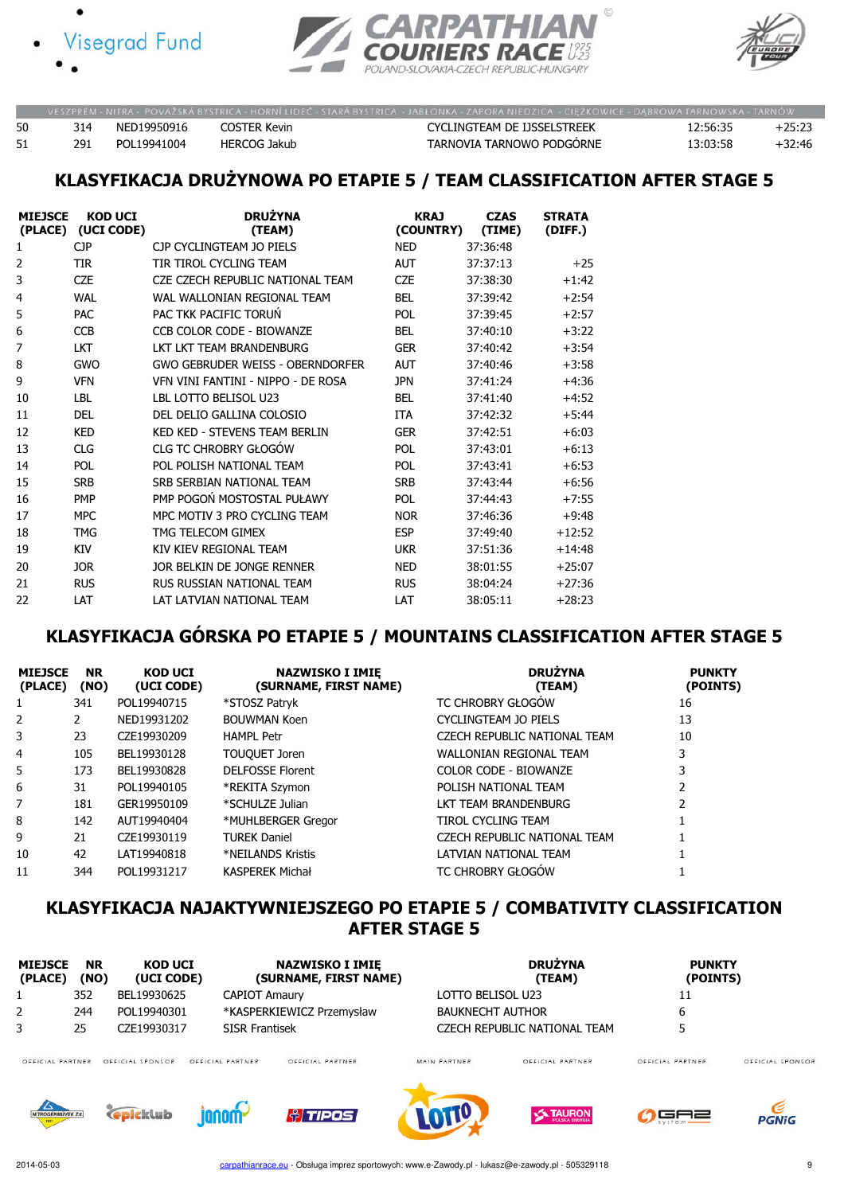





|  |             |                     | VESZPRÉM - NITRA - POVAŽSKÁ BYSTRICA - HORNÍ LIDEČ - STARÁ BYSTRICA - JABLONKA - ZAPORA NIEDZICA - CIEZKOWICE - DABROWA TARNOWSKA - TARNÓW . |          |          |
|--|-------------|---------------------|----------------------------------------------------------------------------------------------------------------------------------------------|----------|----------|
|  | NFD19950916 | COSTER Kevin        | CYCLINGTEAM DE IJSSELSTREEK                                                                                                                  | 12:56:35 | $+25:23$ |
|  | POL19941004 | <b>HERCOG Jakub</b> | TARNOVIA TARNOWO PODGORNE                                                                                                                    | 13:03:58 | $+32:46$ |

#### KLASYFIKACJA DRUŻYNOWA PO ETAPIE 5 / TEAM CLASSIFICATION AFTER STAGE 5

| <b>MIEJSCE</b> | <b>KOD UCI</b> | <b>DRUŻYNA</b>                          | <b>KRAJ</b> | <b>CZAS</b> | <b>STRATA</b> |
|----------------|----------------|-----------------------------------------|-------------|-------------|---------------|
| (PLACE)        | (UCI CODE)     | (TEAM)                                  | (COUNTRY)   | (TIME)      | (DIFF.)       |
| 1              | <b>CJP</b>     | CJP CYCLINGTEAM JO PIELS                | <b>NED</b>  | 37:36:48    |               |
| 2              | <b>TIR</b>     | TIR TIROL CYCLING TEAM                  | <b>AUT</b>  | 37:37:13    | $+25$         |
| 3              | <b>CZE</b>     | CZE CZECH REPUBLIC NATIONAL TEAM        | <b>CZE</b>  | 37:38:30    | $+1:42$       |
| 4              | WAL            | WAL WALLONIAN REGIONAL TEAM             | <b>BEL</b>  | 37:39:42    | $+2:54$       |
| 5              | <b>PAC</b>     | PAC TKK PACIFIC TORUN                   | <b>POL</b>  | 37:39:45    | $+2:57$       |
| 6              | <b>CCB</b>     | CCB COLOR CODE - BIOWANZE               | <b>BEL</b>  | 37:40:10    | $+3:22$       |
| 7              | <b>LKT</b>     | LKT LKT TEAM BRANDENBURG                | <b>GER</b>  | 37:40:42    | $+3:54$       |
| 8              | <b>GWO</b>     | <b>GWO GEBRUDER WEISS - OBERNDORFER</b> | <b>AUT</b>  | 37:40:46    | $+3:58$       |
| 9              | <b>VFN</b>     | VEN VINI FANTINI - NIPPO - DE ROSA      | <b>JPN</b>  | 37:41:24    | $+4:36$       |
| 10             | LBL            | LBL LOTTO BELISOL U23                   | <b>BEL</b>  | 37:41:40    | $+4:52$       |
| 11             | <b>DEL</b>     | DEL DELIO GALLINA COLOSIO               | <b>ITA</b>  | 37:42:32    | $+5:44$       |
| 12             | <b>KED</b>     | KED KED - STEVENS TEAM BERLIN           | <b>GER</b>  | 37:42:51    | $+6:03$       |
| 13             | <b>CLG</b>     | CLG TC CHROBRY GŁOGÓW                   | <b>POL</b>  | 37:43:01    | $+6:13$       |
| 14             | <b>POL</b>     | POL POLISH NATIONAL TFAM                | <b>POL</b>  | 37:43:41    | $+6:53$       |
| 15             | <b>SRB</b>     | SRB SERBIAN NATIONAL TEAM               | <b>SRB</b>  | 37:43:44    | $+6:56$       |
| 16             | <b>PMP</b>     | PMP POGOŃ MOSTOSTAL PUŁAWY              | <b>POL</b>  | 37:44:43    | $+7:55$       |
| 17             | <b>MPC</b>     | MPC MOTIV 3 PRO CYCLING TFAM            | <b>NOR</b>  | 37:46:36    | $+9:48$       |
| 18             | <b>TMG</b>     | TMG TELECOM GIMEX                       | <b>ESP</b>  | 37:49:40    | $+12:52$      |
| 19             | <b>KIV</b>     | KIV KIEV REGIONAL TEAM                  | <b>UKR</b>  | 37:51:36    | $+14:48$      |
| 20             | <b>JOR</b>     | JOR BELKIN DE JONGE RENNER              | <b>NED</b>  | 38:01:55    | $+25:07$      |
| 21             | <b>RUS</b>     | RUS RUSSIAN NATIONAL TEAM               | <b>RUS</b>  | 38:04:24    | $+27:36$      |
| 22             | LAT            | LAT LATVIAN NATIONAL TEAM               | LAT         | 38:05:11    | $+28:23$      |

# KLASYFIKACJA GÓRSKA PO ETAPIE 5 / MOUNTAINS CLASSIFICATION AFTER STAGE 5

| <b>MIEJSCE</b><br>(PLACE) | <b>NR</b><br>(NO) | <b>KOD UCI</b><br>(UCI CODE) | <b>NAZWISKO I IMIE</b><br>(SURNAME, FIRST NAME) | <b>DRUŻYNA</b><br>(TEAM)     | <b>PUNKTY</b><br>(POINTS) |
|---------------------------|-------------------|------------------------------|-------------------------------------------------|------------------------------|---------------------------|
| 1                         | 341               | POL19940715                  | *STOSZ Patryk                                   | <b>TC CHROBRY GŁOGÓW</b>     | 16                        |
| 2                         | 2                 | NED19931202                  | <b>BOUWMAN Koen</b>                             | CYCLINGTEAM JO PIELS         | 13                        |
| 3                         | 23                | CZE19930209                  | <b>HAMPL Petr</b>                               | CZECH REPUBLIC NATIONAL TEAM | 10                        |
| 4                         | 105               | BEL19930128                  | <b>TOUQUET Joren</b>                            | WALLONIAN REGIONAL TEAM      | 3                         |
| 5                         | 173               | BEL19930828                  | <b>DELFOSSE Florent</b>                         | COLOR CODE - BIOWANZE        |                           |
| 6                         | 31                | POL19940105                  | *REKITA Szymon                                  | POLISH NATIONAL TEAM         |                           |
| 7                         | 181               | GER19950109                  | *SCHULZE Julian                                 | LKT TEAM BRANDENBURG         |                           |
| 8                         | 142               | AUT19940404                  | *MUHLBERGER Gregor                              | TIROL CYCLING TEAM           |                           |
| 9                         | 21                | CZE19930119                  | <b>TUREK Daniel</b>                             | CZECH REPUBLIC NATIONAL TEAM |                           |
| 10                        | 42                | LAT19940818                  | *NEILANDS Kristis                               | LATVIAN NATIONAL TEAM        |                           |
| 11                        | 344               | POL19931217                  | <b>KASPEREK Michał</b>                          | <b>TC CHROBRY GŁOGÓW</b>     |                           |

#### KLASYFIKACJA NAJAKTYWNIEJSZEGO PO ETAPIE 5 / COMBATIVITY CLASSIFICATION AFTER STAGE 5

| <b>MIEJSCE</b><br>(PLACE) | <b>NR</b><br>(NO) | <b>KOD UCI</b><br>(UCI CODE) |                       | <b>NAZWISKO I IMIE</b><br>(SURNAME, FIRST NAME) |                         | <b>DRUŻYNA</b><br>(TEAM)     | <b>PUNKTY</b><br>(POINTS) |                |
|---------------------------|-------------------|------------------------------|-----------------------|-------------------------------------------------|-------------------------|------------------------------|---------------------------|----------------|
|                           | 352               | BEL19930625                  | <b>CAPIOT Amaury</b>  |                                                 | LOTTO BELISOL U23       |                              | 11                        |                |
| 2                         | 244               | POL19940301                  |                       | *KASPERKIEWICZ Przemysław                       | <b>BAUKNECHT AUTHOR</b> |                              | 6                         |                |
| 3                         | 25                | CZE19930317                  | <b>SISR Frantisek</b> |                                                 |                         | CZECH REPUBLIC NATIONAL TEAM |                           |                |
| OFFICIAL PARTNER          |                   | OFFICIAL SPONSOR             | OFFICIAL PARTNER      | OFFICIAL PARTNER                                | MAIN PARTNER            | OFFICIAL PARTNER             | OFFICIAL PARTNER          | OFFICIAL SPONS |
| <b>NITROGÉNMŰVEK Zrt</b>  |                   | Gpicklub                     |                       | <b>ATIPOS</b>                                   |                         | <b>TAURON</b>                |                           | <b>PGNiG</b>   |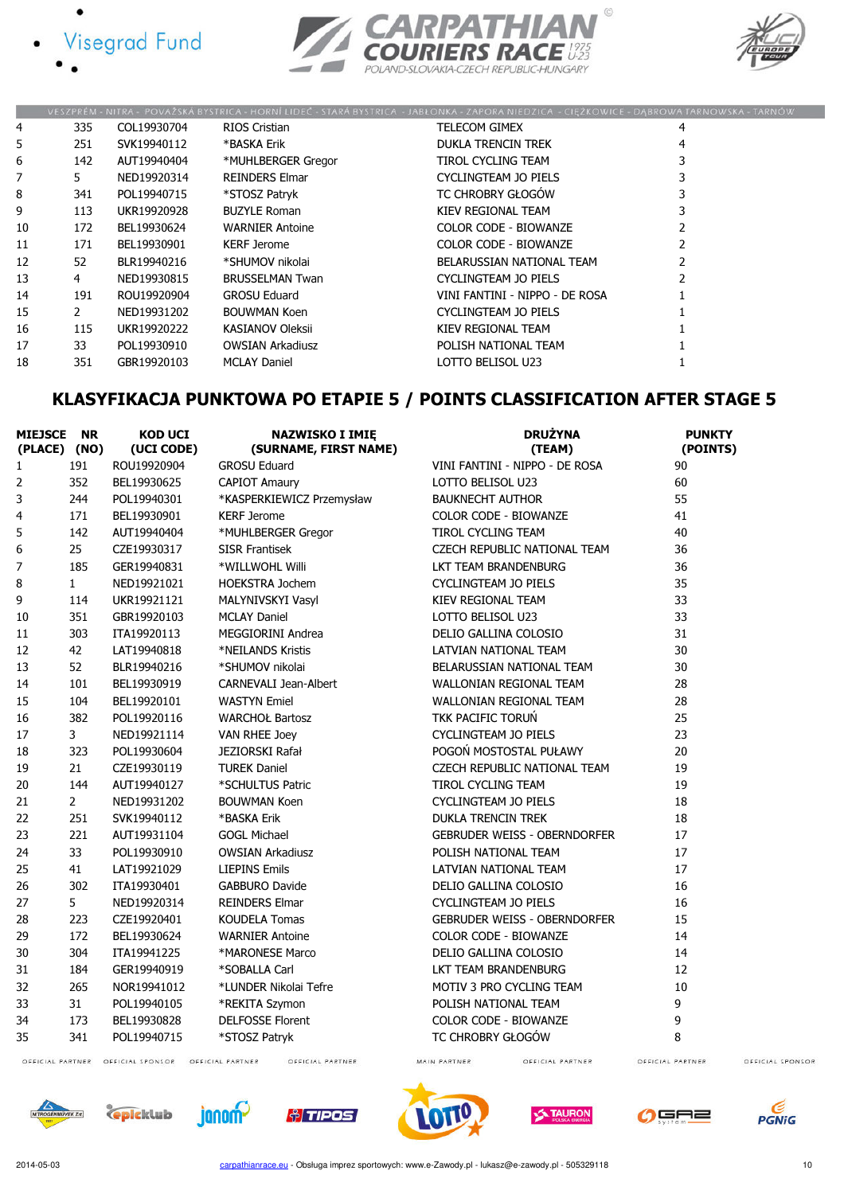







|    |     |             | VESZPRÉM - NITRA - POVAŽSKÁ BYSTRICA - HORNÍ LIDEČ - STARÁ BYSTRICA - JABŁONKA - ZAPORA NIEDZICA - CIĘŻKOWICE - DABROWA TARNOWSKA - TARNÓW |                                |   |
|----|-----|-------------|--------------------------------------------------------------------------------------------------------------------------------------------|--------------------------------|---|
| 4  | 335 | COL19930704 | RIOS Cristian                                                                                                                              | <b>TELECOM GIMEX</b>           | 4 |
| 5  | 251 | SVK19940112 | *BASKA Erik                                                                                                                                | <b>DUKLA TRENCIN TREK</b>      |   |
| 6  | 142 | AUT19940404 | *MUHLBERGER Gregor                                                                                                                         | TIROL CYCLING TEAM             |   |
| 7  | 5.  | NED19920314 | <b>REINDERS Elmar</b>                                                                                                                      | CYCLINGTEAM JO PIELS           |   |
| 8  | 341 | POL19940715 | *STOSZ Patryk                                                                                                                              | TC CHROBRY GŁOGÓW              |   |
| 9  | 113 | UKR19920928 | <b>BUZYLE Roman</b>                                                                                                                        | KIEV REGIONAL TEAM             |   |
| 10 | 172 | BEL19930624 | <b>WARNIER Antoine</b>                                                                                                                     | COLOR CODE - BIOWANZE          |   |
| 11 | 171 | BEL19930901 | <b>KERF Jerome</b>                                                                                                                         | COLOR CODE - BIOWANZE          |   |
| 12 | 52  | BLR19940216 | *SHUMOV nikolai                                                                                                                            | BELARUSSIAN NATIONAL TEAM      |   |
| 13 | 4   | NED19930815 | <b>BRUSSELMAN Twan</b>                                                                                                                     | CYCLINGTEAM JO PIELS           |   |
| 14 | 191 | ROU19920904 | <b>GROSU Eduard</b>                                                                                                                        | VINI FANTINI - NIPPO - DE ROSA |   |
| 15 | 2   | NED19931202 | <b>BOUWMAN Koen</b>                                                                                                                        | CYCLINGTEAM JO PIELS           |   |
| 16 | 115 | UKR19920222 | <b>KASIANOV Oleksii</b>                                                                                                                    | KIEV REGIONAL TEAM             |   |
| 17 | 33  | POL19930910 | <b>OWSIAN Arkadiusz</b>                                                                                                                    | POLISH NATIONAL TEAM           |   |
| 18 | 351 | GBR19920103 | <b>MCLAY Daniel</b>                                                                                                                        | LOTTO BELISOL U23              |   |

# KLASYFIKACJA PUNKTOWA PO ETAPIE 5 / POINTS CLASSIFICATION AFTER STAGE 5

| <b>MIEJSCE</b><br>(PLACE) (NO) | <b>NR</b>      | <b>KOD UCI</b><br>(UCI CODE)                       |                         | <b>NAZWISKO I IMIĘ</b><br>(SURNAME, FIRST NAME) |                         | <b>DRUŻYNA</b><br>(TEAM)            | <b>PUNKTY</b><br>(POINTS) |
|--------------------------------|----------------|----------------------------------------------------|-------------------------|-------------------------------------------------|-------------------------|-------------------------------------|---------------------------|
| $\mathbf{1}$                   | 191            | ROU19920904                                        | <b>GROSU Eduard</b>     |                                                 |                         | VINI FANTINI - NIPPO - DE ROSA      | 90                        |
| 2                              | 352            | BEL19930625                                        | <b>CAPIOT Amaury</b>    |                                                 | LOTTO BELISOL U23       |                                     | 60                        |
| 3                              | 244            | POL19940301                                        |                         | *KASPERKIEWICZ Przemysław                       | <b>BAUKNECHT AUTHOR</b> |                                     | 55                        |
| 4                              | 171            | BEL19930901                                        | <b>KERF Jerome</b>      |                                                 |                         | <b>COLOR CODE - BIOWANZE</b>        | 41                        |
| 5                              | 142            | AUT19940404                                        |                         | *MUHLBERGER Gregor                              | TIROL CYCLING TEAM      |                                     | 40                        |
| 6                              | 25             | CZE19930317                                        | <b>SISR Frantisek</b>   |                                                 |                         | CZECH REPUBLIC NATIONAL TEAM        | 36                        |
| 7                              | 185            | GER19940831                                        | *WILLWOHL Willi         |                                                 |                         | LKT TEAM BRANDENBURG                | 36                        |
| 8                              | $\mathbf{1}$   | NED19921021                                        | <b>HOEKSTRA Jochem</b>  |                                                 |                         | <b>CYCLINGTEAM JO PIELS</b>         | 35                        |
| 9                              | 114            | UKR19921121                                        | MALYNIVSKYI Vasyl       |                                                 |                         | KIEV REGIONAL TEAM                  | 33                        |
| 10                             | 351            | GBR19920103                                        | <b>MCLAY Daniel</b>     |                                                 | LOTTO BELISOL U23       |                                     | 33                        |
| 11                             | 303            | ITA19920113                                        |                         | MEGGIORINI Andrea                               |                         | DELIO GALLINA COLOSIO               | 31                        |
| 12                             | 42             | LAT19940818                                        | *NEILANDS Kristis       |                                                 |                         | LATVIAN NATIONAL TEAM               | 30                        |
| 13                             | 52             | BLR19940216                                        | *SHUMOV nikolai         |                                                 |                         | BELARUSSIAN NATIONAL TEAM           | 30                        |
| 14                             | 101            | BEL19930919                                        |                         | <b>CARNEVALI Jean-Albert</b>                    |                         | WALLONIAN REGIONAL TEAM             | 28                        |
| 15                             | 104            | BEL19920101                                        | <b>WASTYN Emiel</b>     |                                                 |                         | <b>WALLONIAN REGIONAL TEAM</b>      | 28                        |
| 16                             | 382            | POL19920116                                        | <b>WARCHOŁ Bartosz</b>  |                                                 | TKK PACIFIC TORUN       |                                     | 25                        |
| 17                             | 3              | NED19921114                                        | VAN RHEE Joey           |                                                 |                         | <b>CYCLINGTEAM JO PIELS</b>         | 23                        |
| 18                             | 323            | POL19930604                                        | JEZIORSKI Rafał         |                                                 |                         | POGOŃ MOSTOSTAL PUŁAWY              | 20                        |
| 19                             | 21             | CZE19930119                                        | <b>TUREK Daniel</b>     |                                                 |                         | CZECH REPUBLIC NATIONAL TEAM        | 19                        |
| 20                             | 144            | AUT19940127                                        | *SCHULTUS Patric        |                                                 | TIROL CYCLING TEAM      |                                     | 19                        |
| 21                             | $\overline{2}$ | NED19931202                                        | <b>BOUWMAN Koen</b>     |                                                 |                         | <b>CYCLINGTEAM JO PIELS</b>         | 18                        |
| 22                             | 251            | SVK19940112                                        | *BASKA Erik             |                                                 |                         | <b>DUKLA TRENCIN TREK</b>           | 18                        |
| 23                             | 221            | AUT19931104                                        | <b>GOGL Michael</b>     |                                                 |                         | <b>GEBRUDER WEISS - OBERNDORFER</b> | 17                        |
| 24                             | 33             | POL19930910                                        | <b>OWSIAN Arkadiusz</b> |                                                 |                         | POLISH NATIONAL TEAM                | 17                        |
| 25                             | 41             | LAT19921029                                        | <b>LIEPINS Emils</b>    |                                                 |                         | LATVIAN NATIONAL TEAM               | 17                        |
| 26                             | 302            | ITA19930401                                        | <b>GABBURO Davide</b>   |                                                 |                         | DELIO GALLINA COLOSIO               | 16                        |
| 27                             | 5              | NED19920314                                        | <b>REINDERS Elmar</b>   |                                                 |                         | CYCLINGTEAM JO PIELS                | 16                        |
| 28                             | 223            | CZE19920401                                        | <b>KOUDELA Tomas</b>    |                                                 |                         | <b>GEBRUDER WEISS - OBERNDORFER</b> | 15                        |
| 29                             | 172            | BEL19930624                                        | <b>WARNIER Antoine</b>  |                                                 |                         | <b>COLOR CODE - BIOWANZE</b>        | 14                        |
| 30                             | 304            | ITA19941225                                        | *MARONESE Marco         |                                                 |                         | DELIO GALLINA COLOSIO               | 14                        |
| 31                             | 184            | GER19940919                                        | *SOBALLA Carl           |                                                 |                         | LKT TEAM BRANDENBURG                | 12                        |
| 32                             | 265            | NOR19941012                                        |                         | *LUNDER Nikolai Tefre                           |                         | MOTIV 3 PRO CYCLING TEAM            | 10                        |
| 33                             | 31             | POL19940105                                        | *REKITA Szymon          |                                                 |                         | POLISH NATIONAL TEAM                | 9                         |
| 34                             | 173            | BEL19930828                                        | <b>DELFOSSE Florent</b> |                                                 |                         | <b>COLOR CODE - BIOWANZE</b>        | 9                         |
| 35                             | 341            | POL19940715                                        | *STOSZ Patryk           |                                                 |                         | TC CHROBRY GŁOGÓW                   | 8                         |
|                                |                | OFFICIAL PARTNER OFFICIAL SPONSOR OFFICIAL PARTNER |                         | OFFICIAL PARTNER                                | MAIN PARTNER            | OFFICIAL PARTNER                    | OFFICIAL PARTNER          |

OFFICIAL PARTNER OFFICIAL SPONSOR OFFICIAL PARTNER

MAIN PARTNER

OFFICIAL PARTNER















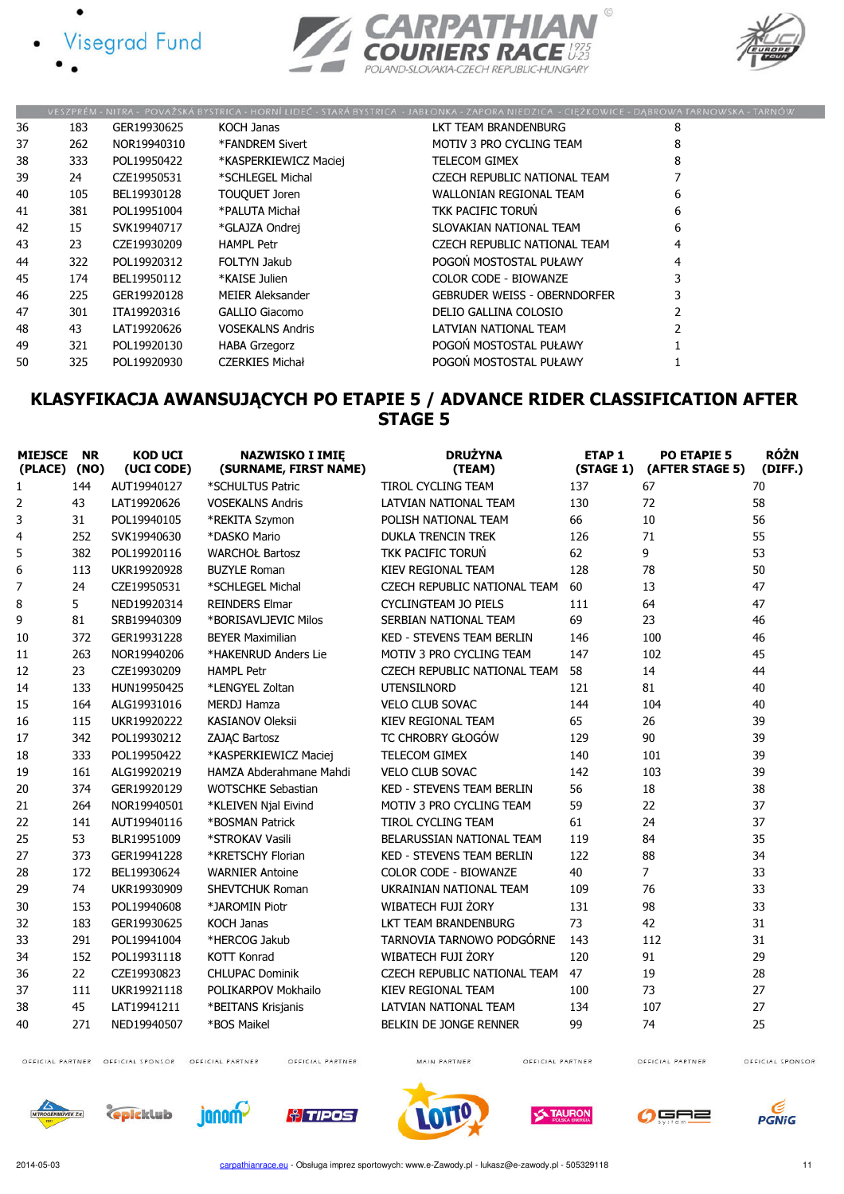







|    |     |             |                         | VESZPRÉM - NITRA - POVAŽSKÁ BYSTRICA - HORNÍ LIDEČ - STARÁ BYSTRICA - JABŁONKA - ZAPORA NIEDZICA - CIĘŻKOWICE - DABROWA TARNOWSKA - TARNÓW |   |
|----|-----|-------------|-------------------------|--------------------------------------------------------------------------------------------------------------------------------------------|---|
| 36 | 183 | GER19930625 | KOCH Janas              | LKT TEAM BRANDENBURG                                                                                                                       | 8 |
| 37 | 262 | NOR19940310 | *FANDREM Sivert         | <b>MOTIV 3 PRO CYCLING TEAM</b>                                                                                                            | 8 |
| 38 | 333 | POL19950422 | *KASPERKIEWICZ Maciej   | TELECOM GIMEX                                                                                                                              |   |
| 39 | 24  | CZE19950531 | *SCHLEGEL Michal        | CZECH REPUBLIC NATIONAL TEAM                                                                                                               |   |
| 40 | 105 | BEL19930128 | TOUQUET Joren           | WALLONIAN REGIONAL TEAM                                                                                                                    | 6 |
| 41 | 381 | POL19951004 | *PALUTA Michał          | TKK PACIFIC TORUN                                                                                                                          | 6 |
| 42 | 15  | SVK19940717 | *GLAJZA Ondrej          | SLOVAKIAN NATIONAL TEAM                                                                                                                    | 6 |
| 43 | 23  | CZE19930209 | <b>HAMPL Petr</b>       | CZECH REPUBLIC NATIONAL TEAM                                                                                                               |   |
| 44 | 322 | POL19920312 | <b>FOLTYN Jakub</b>     | POGOŃ MOSTOSTAL PUŁAWY                                                                                                                     |   |
| 45 | 174 | BEL19950112 | *KAISE Julien           | <b>COLOR CODE - BIOWANZE</b>                                                                                                               |   |
| 46 | 225 | GER19920128 | MEIER Aleksander        | <b>GEBRUDER WEISS - OBERNDORFER</b>                                                                                                        |   |
| 47 | 301 | ITA19920316 | GALLIO Giacomo          | DELIO GALLINA COLOSIO                                                                                                                      |   |
| 48 | 43  | LAT19920626 | <b>VOSEKALNS Andris</b> | LATVIAN NATIONAL TEAM                                                                                                                      |   |
| 49 | 321 | POL19920130 | <b>HABA Grzegorz</b>    | POGOŃ MOSTOSTAL PUŁAWY                                                                                                                     |   |
| 50 | 325 | POL19920930 | <b>CZERKIES Michał</b>  | POGOŃ MOSTOSTAL PUŁAWY                                                                                                                     |   |

#### KLASYFIKACJA AWANSUJĄCYCH PO ETAPIE 5 / ADVANCE RIDER CLASSIFICATION AFTER STAGE 5

| <b>MIEJSCE</b><br>(PLACE) (NO) | <b>NR</b> | <b>KOD UCI</b><br>(UCI CODE) | <b>NAZWISKO I IMIE</b><br>(SURNAME, FIRST NAME) | <b>DRUŻYNA</b><br>(TEAM)         | <b>ETAP1</b><br>(STAGE 1) | <b>PO ETAPIE 5</b><br>(AFTER STAGE 5) | <b>RÓŻN</b><br>(DIFF.) |
|--------------------------------|-----------|------------------------------|-------------------------------------------------|----------------------------------|---------------------------|---------------------------------------|------------------------|
| 1                              | 144       | AUT19940127                  | *SCHULTUS Patric                                | <b>TIROL CYCLING TEAM</b>        | 137                       | 67                                    | 70                     |
| 2                              | 43        | LAT19920626                  | <b>VOSEKALNS Andris</b>                         | LATVIAN NATIONAL TEAM            | 130                       | 72                                    | 58                     |
| 3                              | 31        | POL19940105                  | *REKITA Szymon                                  | POLISH NATIONAL TEAM             | 66                        | 10                                    | 56                     |
| 4                              | 252       | SVK19940630                  | *DASKO Mario                                    | <b>DUKLA TRENCIN TREK</b>        | 126                       | 71                                    | 55                     |
| 5                              | 382       | POL19920116                  | <b>WARCHOŁ Bartosz</b>                          | <b>TKK PACIFIC TORUŃ</b>         | 62                        | 9                                     | 53                     |
| 6                              | 113       | UKR19920928                  | <b>BUZYLE Roman</b>                             | <b>KIEV REGIONAL TEAM</b>        | 128                       | 78                                    | 50                     |
| 7                              | 24        | CZE19950531                  | *SCHLEGEL Michal                                | CZECH REPUBLIC NATIONAL TEAM     | 60                        | 13                                    | 47                     |
| 8                              | 5         | NED19920314                  | <b>REINDERS Elmar</b>                           | <b>CYCLINGTEAM JO PIELS</b>      | 111                       | 64                                    | 47                     |
| 9                              | 81        | SRB19940309                  | *BORISAVLJEVIC Milos                            | SERBIAN NATIONAL TEAM            | 69                        | 23                                    | 46                     |
| 10                             | 372       | GER19931228                  | <b>BEYER Maximilian</b>                         | <b>KED - STEVENS TEAM BERLIN</b> | 146                       | 100                                   | 46                     |
| 11                             | 263       | NOR19940206                  | *HAKENRUD Anders Lie                            | MOTIV 3 PRO CYCLING TEAM         | 147                       | 102                                   | 45                     |
| 12                             | 23        | CZE19930209                  | <b>HAMPL Petr</b>                               | CZECH REPUBLIC NATIONAL TEAM     | 58                        | 14                                    | 44                     |
| 14                             | 133       | HUN19950425                  | *LENGYEL Zoltan                                 | <b>UTENSILNORD</b>               | 121                       | 81                                    | 40                     |
| 15                             | 164       | ALG19931016                  | <b>MERDJ Hamza</b>                              | <b>VELO CLUB SOVAC</b>           | 144                       | 104                                   | 40                     |
| 16                             | 115       | UKR19920222                  | <b>KASIANOV Oleksii</b>                         | KIEV REGIONAL TEAM               | 65                        | 26                                    | 39                     |
| 17                             | 342       | POL19930212                  | <b>ZAJAC Bartosz</b>                            | TC CHROBRY GŁOGÓW                | 129                       | 90                                    | 39                     |
| 18                             | 333       | POL19950422                  | *KASPERKIEWICZ Maciej                           | <b>TELECOM GIMEX</b>             | 140                       | 101                                   | 39                     |
| 19                             | 161       | ALG19920219                  | HAMZA Abderahmane Mahdi                         | <b>VELO CLUB SOVAC</b>           | 142                       | 103                                   | 39                     |
| 20                             | 374       | GER19920129                  | <b>WOTSCHKE Sebastian</b>                       | <b>KED - STEVENS TEAM BERLIN</b> | 56                        | 18                                    | 38                     |
| 21                             | 264       | NOR19940501                  | *KLEIVEN Njal Eivind                            | MOTIV 3 PRO CYCLING TEAM         | 59                        | 22                                    | 37                     |
| 22                             | 141       | AUT19940116                  | *BOSMAN Patrick                                 | <b>TIROL CYCLING TEAM</b>        | 61                        | 24                                    | 37                     |
| 25                             | 53        | BLR19951009                  | *STROKAV Vasili                                 | BELARUSSIAN NATIONAL TEAM        | 119                       | 84                                    | 35                     |
| 27                             | 373       | GER19941228                  | *KRETSCHY Florian                               | <b>KED - STEVENS TEAM BERLIN</b> | 122                       | 88                                    | 34                     |
| 28                             | 172       | BEL19930624                  | <b>WARNIER Antoine</b>                          | <b>COLOR CODE - BIOWANZE</b>     | 40                        | $\overline{7}$                        | 33                     |
| 29                             | 74        | UKR19930909                  | <b>SHEVTCHUK Roman</b>                          | UKRAINIAN NATIONAL TEAM          | 109                       | 76                                    | 33                     |
| 30                             | 153       | POL19940608                  | *JAROMIN Piotr                                  | WIBATECH FUJI ŻORY               | 131                       | 98                                    | 33                     |
| 32                             | 183       | GER19930625                  | <b>KOCH Janas</b>                               | LKT TEAM BRANDENBURG             | 73                        | 42                                    | 31                     |
| 33                             | 291       | POL19941004                  | *HERCOG Jakub                                   | TARNOVIA TARNOWO PODGÓRNE        | 143                       | 112                                   | 31                     |
| 34                             | 152       | POL19931118                  | <b>KOTT Konrad</b>                              | <b>WIBATECH FUJI ŻORY</b>        | 120                       | 91                                    | 29                     |
| 36                             | 22        | CZE19930823                  | <b>CHLUPAC Dominik</b>                          | CZECH REPUBLIC NATIONAL TEAM     | 47                        | 19                                    | 28                     |
| 37                             | 111       | UKR19921118                  | POLIKARPOV Mokhailo                             | KIEV REGIONAL TEAM               | 100                       | 73                                    | 27                     |
| 38                             | 45        | LAT19941211                  | *BEITANS Krisjanis                              | LATVIAN NATIONAL TEAM            | 134                       | 107                                   | 27                     |
| 40                             | 271       | NED19940507                  | *BOS Maikel                                     | <b>BELKIN DE JONGE RENNER</b>    | 99                        | 74                                    | 25                     |

OFFICIAL PARTNER OFFICIAL SPONSOR OFFICIAL PARTNER

OFFICIAL PARTNER

MAIN PARTNER

OFFICIAL PARTNER

OFFICIAL SPONSOR











OFFICIAL PARTNER



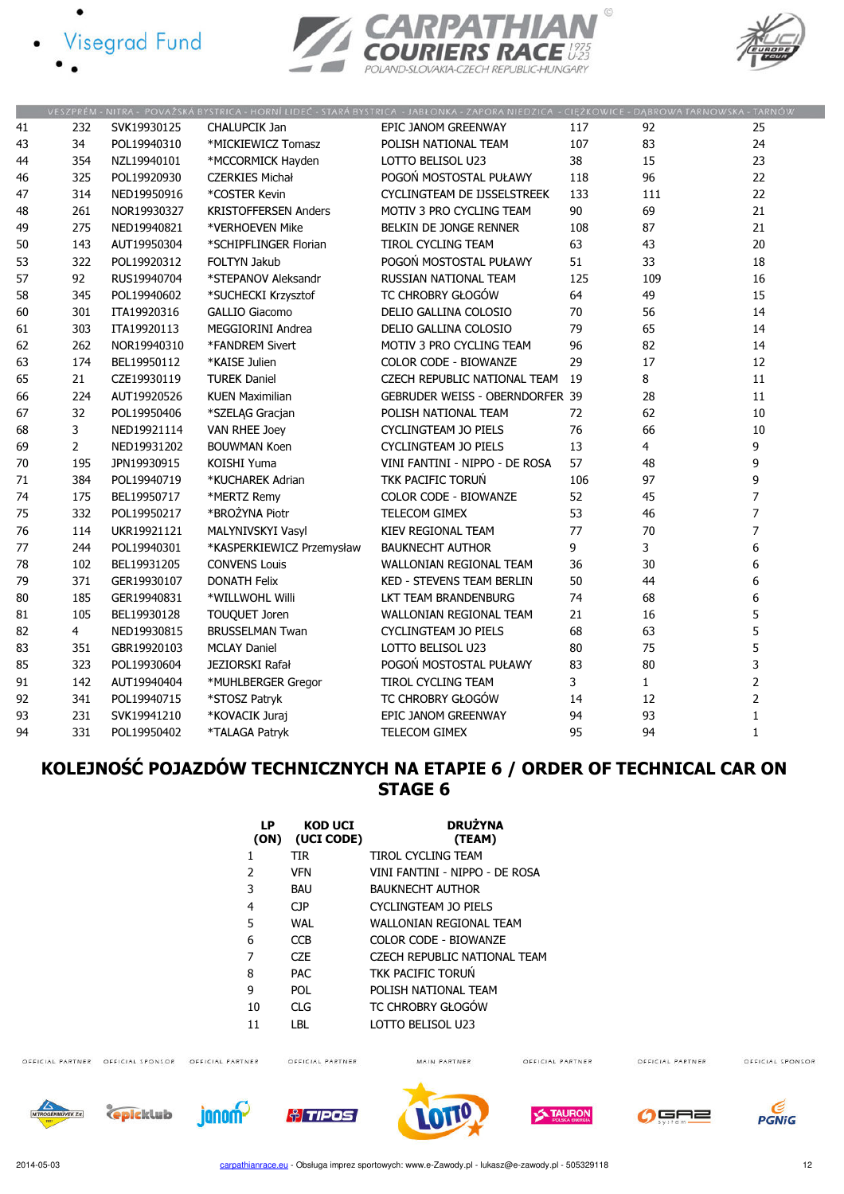- **Visegrad Fund**  $\bullet$ 
	-





|    |                |             |                             | VESZPREM - NITRA - POVAZSKA BYSTRICA - HORNI LIDEC - STARA BYSTRICA - JABEONKA - ZAPORA NIEDZICA - CIĘZKOWICE - DĄBROWA TARNOWSKA - TARNOW |     |              |                |
|----|----------------|-------------|-----------------------------|--------------------------------------------------------------------------------------------------------------------------------------------|-----|--------------|----------------|
| 41 | 232            | SVK19930125 | <b>CHALUPCIK Jan</b>        | EPIC JANOM GREENWAY                                                                                                                        | 117 | 92           | 25             |
| 43 | 34             | POL19940310 | *MICKIEWICZ Tomasz          | POLISH NATIONAL TEAM                                                                                                                       | 107 | 83           | 24             |
| 44 | 354            | NZL19940101 | *MCCORMICK Hayden           | LOTTO BELISOL U23                                                                                                                          | 38  | 15           | 23             |
| 46 | 325            | POL19920930 | <b>CZERKIES Michał</b>      | POGOŃ MOSTOSTAL PUŁAWY                                                                                                                     | 118 | 96           | 22             |
| 47 | 314            | NED19950916 | *COSTER Kevin               | CYCLINGTEAM DE IJSSELSTREEK                                                                                                                | 133 | 111          | 22             |
| 48 | 261            | NOR19930327 | <b>KRISTOFFERSEN Anders</b> | MOTIV 3 PRO CYCLING TEAM                                                                                                                   | 90  | 69           | 21             |
| 49 | 275            | NED19940821 | *VERHOEVEN Mike             | BELKIN DE JONGE RENNER                                                                                                                     | 108 | 87           | 21             |
| 50 | 143            | AUT19950304 | *SCHIPFLINGER Florian       | <b>TIROL CYCLING TEAM</b>                                                                                                                  | 63  | 43           | 20             |
| 53 | 322            | POL19920312 | FOLTYN Jakub                | POGOŃ MOSTOSTAL PUŁAWY                                                                                                                     | 51  | 33           | 18             |
| 57 | 92             | RUS19940704 | *STEPANOV Aleksandr         | <b>RUSSIAN NATIONAL TEAM</b>                                                                                                               | 125 | 109          | 16             |
| 58 | 345            | POL19940602 | *SUCHECKI Krzysztof         | TC CHROBRY GŁOGÓW                                                                                                                          | 64  | 49           | 15             |
| 60 | 301            | ITA19920316 | <b>GALLIO Giacomo</b>       | DELIO GALLINA COLOSIO                                                                                                                      | 70  | 56           | 14             |
| 61 | 303            | ITA19920113 | <b>MEGGIORINI Andrea</b>    | DELIO GALLINA COLOSIO                                                                                                                      | 79  | 65           | 14             |
| 62 | 262            | NOR19940310 | *FANDREM Sivert             | MOTIV 3 PRO CYCLING TEAM                                                                                                                   | 96  | 82           | 14             |
| 63 | 174            | BEL19950112 | *KAISE Julien               | <b>COLOR CODE - BIOWANZE</b>                                                                                                               | 29  | 17           | 12             |
| 65 | 21             | CZE19930119 | <b>TUREK Daniel</b>         | CZECH REPUBLIC NATIONAL TEAM                                                                                                               | 19  | 8            | 11             |
| 66 | 224            | AUT19920526 | <b>KUEN Maximilian</b>      | <b>GEBRUDER WEISS - OBERNDORFER 39</b>                                                                                                     |     | 28           | 11             |
| 67 | 32             | POL19950406 | *SZELĄG Gracjan             | POLISH NATIONAL TEAM                                                                                                                       | 72  | 62           | 10             |
| 68 | 3              | NED19921114 | <b>VAN RHEE Joey</b>        | <b>CYCLINGTEAM JO PIELS</b>                                                                                                                | 76  | 66           | 10             |
| 69 | $\overline{2}$ | NED19931202 | <b>BOUWMAN Koen</b>         | <b>CYCLINGTEAM JO PIELS</b>                                                                                                                | 13  | 4            | 9              |
| 70 | 195            | JPN19930915 | <b>KOISHI Yuma</b>          | VINI FANTINI - NIPPO - DE ROSA                                                                                                             | 57  | 48           | 9              |
| 71 | 384            | POL19940719 | *KUCHAREK Adrian            | TKK PACIFIC TORUŃ                                                                                                                          | 106 | 97           | 9              |
| 74 | 175            | BEL19950717 | *MERTZ Remy                 | <b>COLOR CODE - BIOWANZE</b>                                                                                                               | 52  | 45           | $\overline{7}$ |
| 75 | 332            | POL19950217 | *BROŻYNA Piotr              | <b>TELECOM GIMEX</b>                                                                                                                       | 53  | 46           | 7              |
| 76 | 114            | UKR19921121 | MALYNIVSKYI Vasyl           | KIEV REGIONAL TEAM                                                                                                                         | 77  | 70           | 7              |
| 77 | 244            | POL19940301 | *KASPERKIEWICZ Przemysław   | <b>BAUKNECHT AUTHOR</b>                                                                                                                    | 9   | 3            | 6              |
| 78 | 102            | BEL19931205 | <b>CONVENS Louis</b>        | WALLONIAN REGIONAL TEAM                                                                                                                    | 36  | 30           | 6              |
| 79 | 371            | GER19930107 | <b>DONATH Felix</b>         | <b>KED - STEVENS TEAM BERLIN</b>                                                                                                           | 50  | 44           | 6              |
| 80 | 185            | GER19940831 | *WILLWOHL Willi             | LKT TEAM BRANDENBURG                                                                                                                       | 74  | 68           | 6              |
| 81 | 105            | BEL19930128 | <b>TOUQUET Joren</b>        | <b>WALLONIAN REGIONAL TEAM</b>                                                                                                             | 21  | 16           | 5              |
| 82 | $\overline{4}$ | NED19930815 | <b>BRUSSELMAN Twan</b>      | <b>CYCLINGTEAM JO PIELS</b>                                                                                                                | 68  | 63           | 5              |
| 83 | 351            | GBR19920103 | <b>MCLAY Daniel</b>         | LOTTO BELISOL U23                                                                                                                          | 80  | 75           | 5              |
| 85 | 323            | POL19930604 | JEZIORSKI Rafał             | POGOŃ MOSTOSTAL PUŁAWY                                                                                                                     | 83  | 80           | 3              |
| 91 | 142            | AUT19940404 | *MUHLBERGER Gregor          | <b>TIROL CYCLING TEAM</b>                                                                                                                  | 3   | $\mathbf{1}$ | 2              |
| 92 | 341            | POL19940715 | *STOSZ Patryk               | TC CHROBRY GŁOGÓW                                                                                                                          | 14  | 12           | $\overline{2}$ |
| 93 | 231            | SVK19941210 | *KOVACIK Juraj              | EPIC JANOM GREENWAY                                                                                                                        | 94  | 93           | 1              |
| 94 | 331            | POL19950402 | *TALAGA Patryk              | TELECOM GIMEX                                                                                                                              | 95  | 94           | 1              |
|    |                |             |                             |                                                                                                                                            |     |              |                |

### KOLEJNOŚĆ POJAZDÓW TECHNICZNYCH NA ETAPIE 6 / ORDER OF TECHNICAL CAR ON STAGE 6

| I P<br>(ON) | <b>KOD UCI</b><br>(UCI CODE) | <b>DRUŻYNA</b><br>(TEAM)       |
|-------------|------------------------------|--------------------------------|
| 1           | <b>TIR</b>                   | TIROL CYCLING TFAM             |
| 2           | <b>VFN</b>                   | VINI FANTINI - NIPPO - DE ROSA |
| 3           | <b>BAU</b>                   | <b>BAUKNECHT AUTHOR</b>        |
| 4           | C <sub>JP</sub>              | CYCLINGTFAM JO PIFLS           |
| 5           | WAL                          | WALLONIAN REGIONAL TEAM        |
| 6           | CCB                          | COLOR CODE - BIOWANZE          |
| 7           | CZE.                         | CZECH REPUBLIC NATIONAL TEAM   |
| 8           | <b>PAC</b>                   | TKK PACIFIC TORUN              |
| 9           | <b>POL</b>                   | POLISH NATIONAL TEAM           |
| 10          | CI G                         | TC CHROBRY GŁOGÓW              |
| 11          | I BL                         | LOTTO BELISOL U23              |





MAIN PARTNER OFFICIAL PARTNER OFFICIAL PARTNER













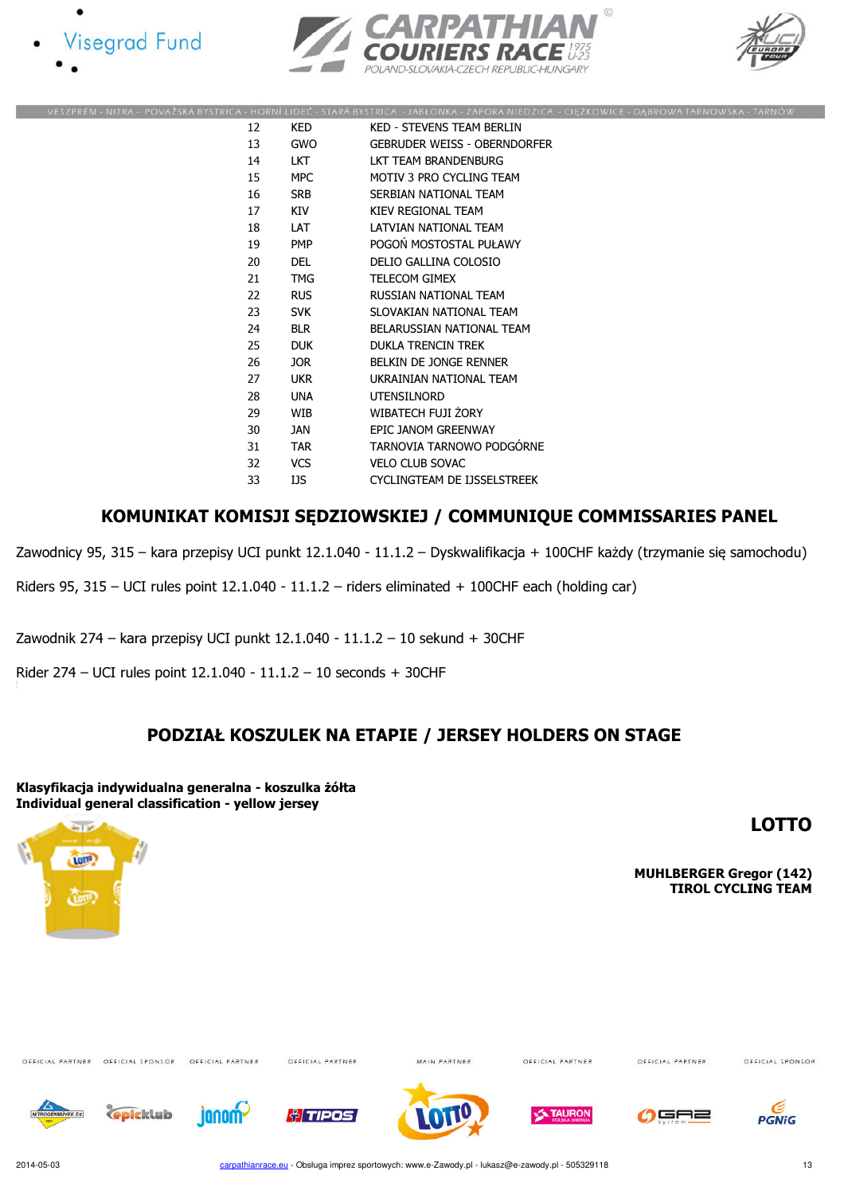







|    |            | VESZPRÉM - NITRA - POVAŽSKÁ BYSTRICA - HORNÍ LIDEČ - STARÁ BYSTRICA - JABŁONKA - ZAPORA NIEDZICA - CIEŻKOWICE - DABROWA TARNOWSKA - TARNÓW |
|----|------------|--------------------------------------------------------------------------------------------------------------------------------------------|
| 12 | KED        | <b>KED - STEVENS TEAM BERLIN</b>                                                                                                           |
| 13 | <b>GWO</b> | <b>GEBRUDER WEISS - OBERNDORFER</b>                                                                                                        |
| 14 | <b>LKT</b> | LKT TEAM BRANDENBURG                                                                                                                       |
| 15 | <b>MPC</b> | MOTIV 3 PRO CYCLING TEAM                                                                                                                   |
| 16 | <b>SRB</b> | SERBIAN NATIONAL TEAM                                                                                                                      |
| 17 | <b>KIV</b> | KIEV REGIONAL TEAM                                                                                                                         |
| 18 | <b>LAT</b> | LATVIAN NATIONAL TEAM                                                                                                                      |
| 19 | <b>PMP</b> | POGOŃ MOSTOSTAL PUŁAWY                                                                                                                     |
| 20 | <b>DEL</b> | DELIO GALLINA COLOSIO                                                                                                                      |
| 21 | <b>TMG</b> | <b>TELECOM GIMEX</b>                                                                                                                       |
| 22 | <b>RUS</b> | RUSSIAN NATIONAL TEAM                                                                                                                      |
| 23 | <b>SVK</b> | SLOVAKIAN NATIONAL TEAM                                                                                                                    |
| 24 | <b>BLR</b> | BELARUSSIAN NATIONAL TEAM                                                                                                                  |
| 25 | <b>DUK</b> | <b>DUKLA TRENCIN TREK</b>                                                                                                                  |
| 26 | JOR.       | BELKIN DE JONGE RENNER                                                                                                                     |
| 27 | <b>UKR</b> | UKRAINIAN NATIONAL TEAM                                                                                                                    |
| 28 | <b>UNA</b> | <b>UTENSILNORD</b>                                                                                                                         |
| 29 | WIB        | WIBATECH FUJI ŻORY                                                                                                                         |
| 30 | JAN        | EPIC JANOM GREENWAY                                                                                                                        |
| 31 | <b>TAR</b> | TARNOVIA TARNOWO PODGÓRNE                                                                                                                  |
| 32 | <b>VCS</b> | <b>VELO CLUB SOVAC</b>                                                                                                                     |
| 33 | IJS        | CYCLINGTEAM DE IJSSELSTREEK                                                                                                                |

#### KOMUNIKAT KOMISJI SĘDZIOWSKIEJ / COMMUNIQUE COMMISSARIES PANEL

Zawodnicy 95, 315 – kara przepisy UCI punkt 12.1.040 - 11.1.2 – Dyskwalifikacja + 100CHF każdy (trzymanie się samochodu)

Riders 95, 315 – UCI rules point 12.1.040 - 11.1.2 – riders eliminated + 100CHF each (holding car)

OFFICIAL PARTNER

*<u>al TIPOS</u>* 

Zawodnik 274 – kara przepisy UCI punkt 12.1.040 - 11.1.2 – 10 sekund + 30CHF

Rider 274 – UCI rules point 12.1.040 - 11.1.2 – 10 seconds + 30CHF

#### PODZIAŁ KOSZULEK NA ETAPIE / JERSEY HOLDERS ON STAGE

Klasyfikacja indywidualna generalna - koszulka żółta Individual general classification - yellow jersey

LOTTO

OFFICIAL SPONSOR

**PGNiG** 

MUHLBERGER Gregor (142) TIROL CYCLING TEAM

OFFICIAL PARTNER

OFFICIAL PARTNER OFFICIAL SPONSOR OFFICIAL PARTNER

**epicklub** 

ianom-

MAIN PARTNER

OFFICIAL PARTNER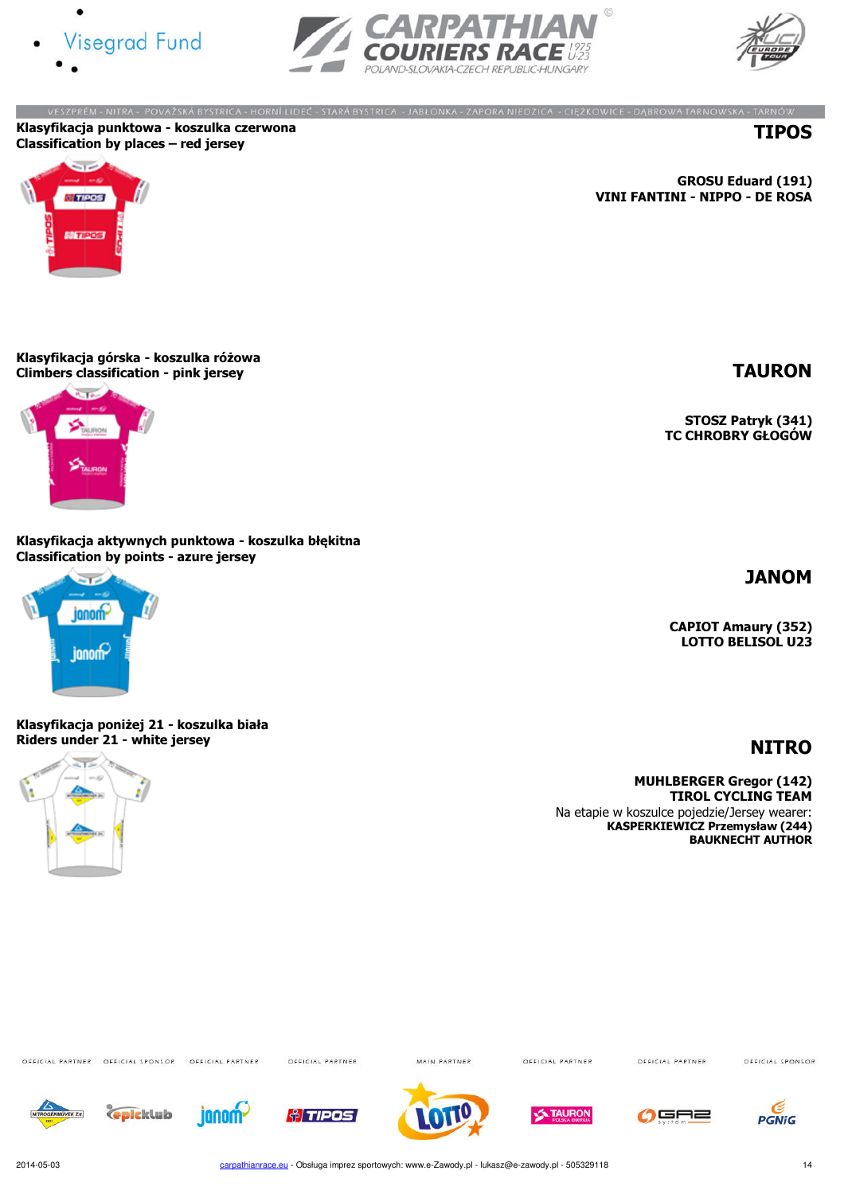





TIPOS

.<br>VESZPRÉM - NITRA - POVAŽSKÁ BYSTRICA - HORNÍ LIDEČ - STARÁ BYSTRICA - JABŁONKA - ZAPORA NIEDZICA - CIĘŻKOWICE - DĄBROWA TARNOWSKA Klasyfikacja punktowa - koszulka czerwona Classification by places – red jersey



GROSU Eduard (191) VINI FANTINI - NIPPO - DE ROSA

STOSZ Patryk (341) TC CHROBRY GŁOGÓW

JANOM

CAPIOT Amaury (352) LOTTO BELISOL U23

MUHLBERGER Gregor (142) TIROL CYCLING TEAM Na etapie w koszulce pojedzie/Jersey wearer: KASPERKIEWICZ Przemysław (244) BAUKNECHT AUTHOR



Klasyfikacja aktywnych punktowa - koszulka błękitna Classification by points - azure jersey



Klasyfikacja poniżej 21 - koszulka biała Riders under 21 - white jersey NITRO



OFFICIAL PARTNER OFFICIAL SPONSOR OFFICIAL PARTNER OFFICIAL PARTNER

**Gpicklub** 

**janom** 

*<u><sup>®</sup>TIPOS</u>* 

MAIN PARTNER







OFFICIAL PARTNER







OFFICIAL PARTNER

32

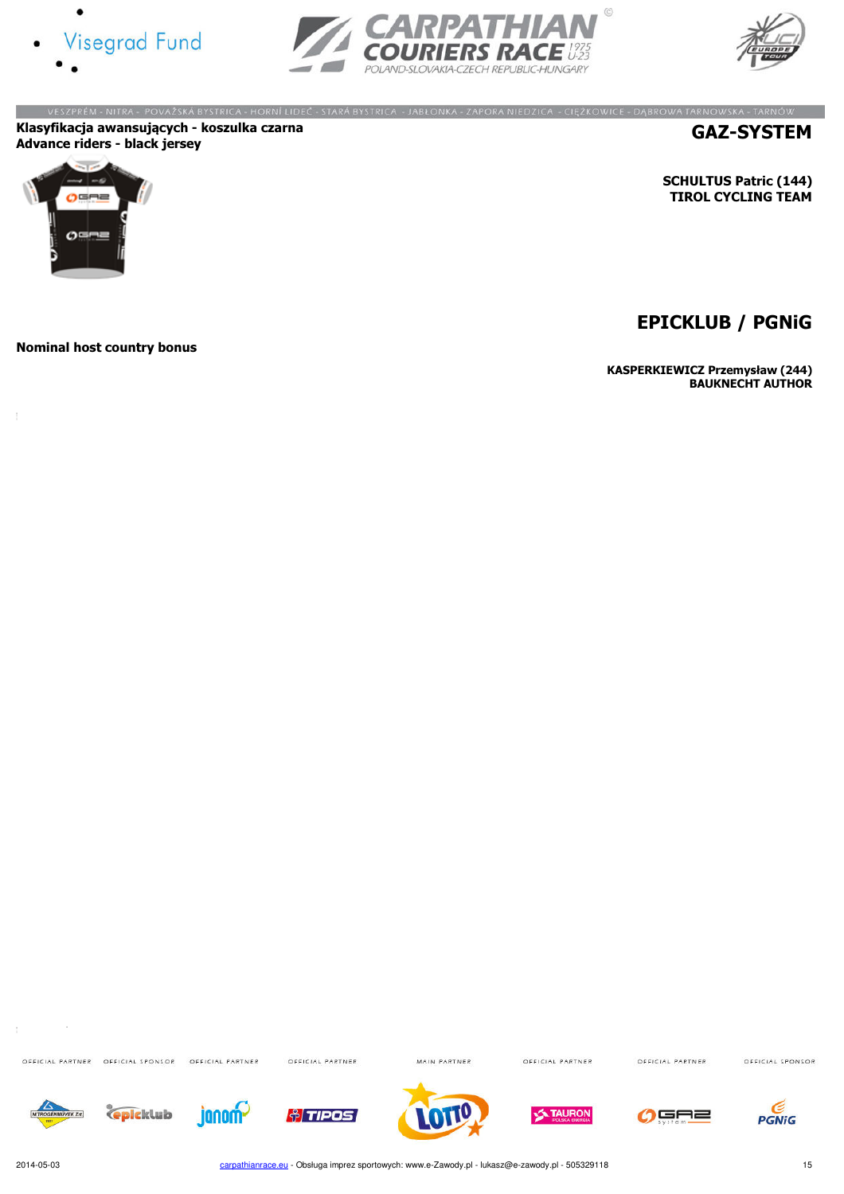



VESZPRÉM - NITRA - POVAŽSKÁ BYSTRICA - HORNÍ LIDEČ - STARÁ BYSTRICA - JABŁONKA - ZAPORA NIEDZICA - CIĘŻKOWICE - DĄBROWA TARNOWSKA - TARNÓW



#### Klasyfikacja awansujących - koszulka czarna Advance riders - black jersey



SCHULTUS Patric (144) TIROL CYCLING TEAM

GAZ-SYSTEM

# EPICKLUB / PGNiG

KASPERKIEWICZ Przemysław (244) BAUKNECHT AUTHOR

Nominal host country bonus

 $\bar{z}$ 

OFFICIAL PARTNER OFFICIAL SPONSOR OFFICIAL PARTNER

**C**picklub

**janom** 

 $\sim$ 

MAIN PARTNER

OFFICIAL PARTNER

**TAUROI** 

OFFICIAL PARTNER

GF ゠

OFFICIAL PARTNER

**Al TIPOS** 

OFFICIAL SPONSOR

 $rac{C}{PGNIG}$